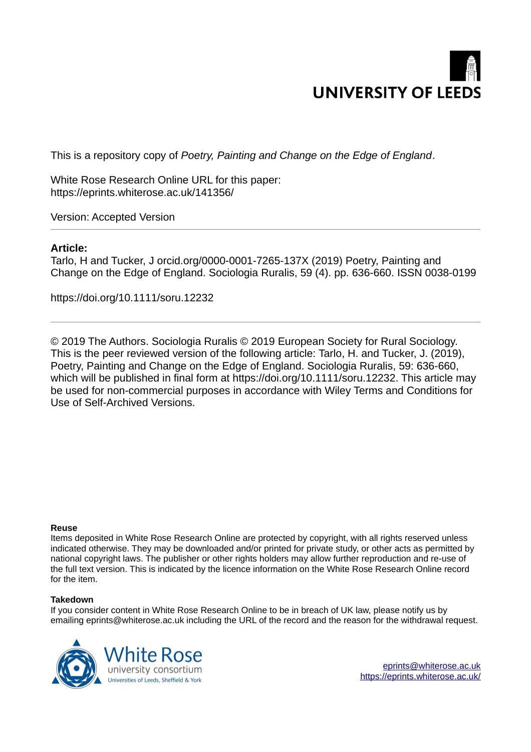

This is a repository copy of *Poetry, Painting and Change on the Edge of England*.

White Rose Research Online URL for this paper: https://eprints.whiterose.ac.uk/141356/

Version: Accepted Version

# **Article:**

Tarlo, H and Tucker, J orcid.org/0000-0001-7265-137X (2019) Poetry, Painting and Change on the Edge of England. Sociologia Ruralis, 59 (4). pp. 636-660. ISSN 0038-0199

https://doi.org/10.1111/soru.12232

© 2019 The Authors. Sociologia Ruralis © 2019 European Society for Rural Sociology. This is the peer reviewed version of the following article: Tarlo, H. and Tucker, J. (2019), Poetry, Painting and Change on the Edge of England. Sociologia Ruralis, 59: 636-660, which will be published in final form at https://doi.org/10.1111/soru.12232. This article may be used for non-commercial purposes in accordance with Wiley Terms and Conditions for Use of Self-Archived Versions.

#### **Reuse**

Items deposited in White Rose Research Online are protected by copyright, with all rights reserved unless indicated otherwise. They may be downloaded and/or printed for private study, or other acts as permitted by national copyright laws. The publisher or other rights holders may allow further reproduction and re-use of the full text version. This is indicated by the licence information on the White Rose Research Online record for the item.

#### **Takedown**

If you consider content in White Rose Research Online to be in breach of UK law, please notify us by emailing eprints@whiterose.ac.uk including the URL of the record and the reason for the withdrawal request.



eprints@whiterose.ac.uk https://eprints.whiterose.ac.uk/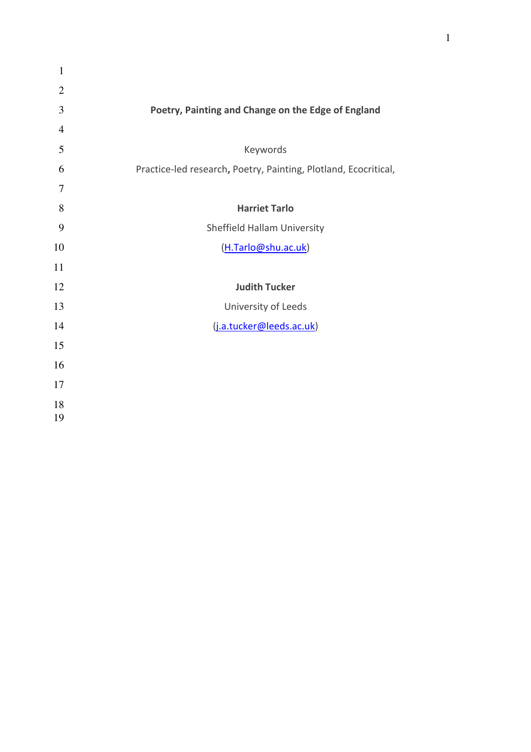| $\mathbf{1}$   |                                                                 |
|----------------|-----------------------------------------------------------------|
| $\overline{2}$ |                                                                 |
| 3              | Poetry, Painting and Change on the Edge of England              |
| $\overline{4}$ |                                                                 |
| 5              | Keywords                                                        |
| 6              | Practice-led research, Poetry, Painting, Plotland, Ecocritical, |
| 7              |                                                                 |
| 8              | <b>Harriet Tarlo</b>                                            |
| 9              | Sheffield Hallam University                                     |
| 10             | (H.Tarlo@shu.ac.uk)                                             |
| 11             |                                                                 |
| 12             | <b>Judith Tucker</b>                                            |
| 13             | University of Leeds                                             |
| 14             | (j.a.tucker@leeds.ac.uk)                                        |
| 15             |                                                                 |
| 16             |                                                                 |
| 17             |                                                                 |
| 18<br>19       |                                                                 |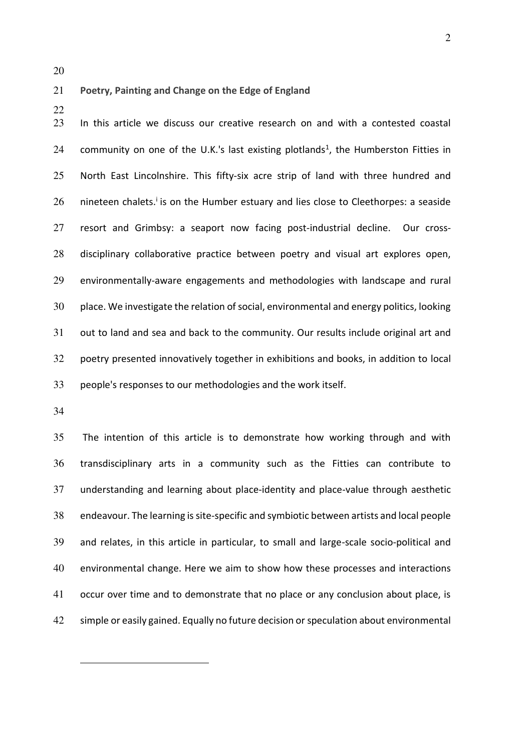#### **Poetry, Painting and Change on the Edge of England<sup>1</sup>**

In this article we discuss our creative research on and with a contested coastal 24 community on one of the U.K.'s last existing plotlands<sup>1</sup>, the Humberston Fitties in North East Lincolnshire. This fifty-six acre strip of land with three hundred and nineteen chalets.<sup>i</sup> is on the Humber estuary and lies close to Cleethorpes: a seaside resort and Grimbsy: a seaport now facing post-industrial decline. Our cross-disciplinary collaborative practice between poetry and visual art explores open, environmentally-aware engagements and methodologies with landscape and rural place. We investigate the relation of social, environmental and energy politics, looking out to land and sea and back to the community. Our results include original art and poetry presented innovatively together in exhibitions and books, in addition to local people's responses to our methodologies and the work itself.

 $\overline{a}$ 

The intention of this article is to demonstrate how working through and with transdisciplinary arts in a community such as the Fitties can contribute to understanding and learning about place-identity and place-value through aesthetic endeavour. The learning is site-specific and symbiotic between artists and local people and relates, in this article in particular, to small and large-scale socio-political and environmental change. Here we aim to show how these processes and interactions occur over time and to demonstrate that no place or any conclusion about place, is simple or easily gained. Equally no future decision or speculation about environmental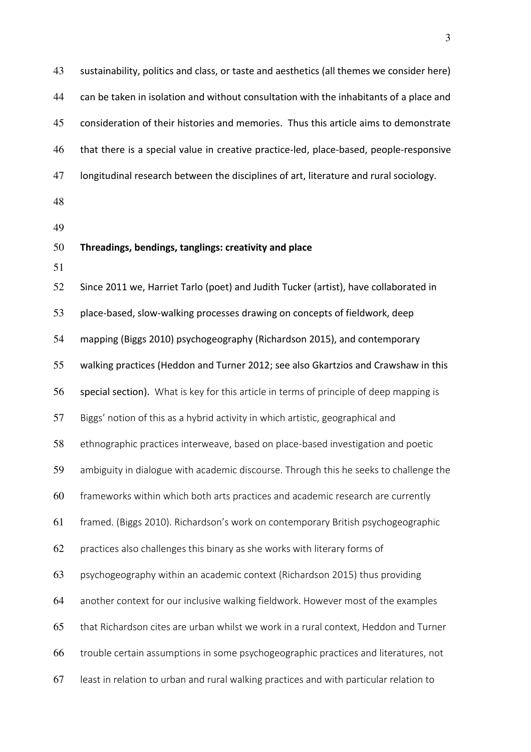| 43 | sustainability, politics and class, or taste and aesthetics (all themes we consider here) |
|----|-------------------------------------------------------------------------------------------|
| 44 | can be taken in isolation and without consultation with the inhabitants of a place and    |
| 45 | consideration of their histories and memories. Thus this article aims to demonstrate      |
| 46 | that there is a special value in creative practice-led, place-based, people-responsive    |
| 47 | longitudinal research between the disciplines of art, literature and rural sociology.     |
| 48 |                                                                                           |
| 49 |                                                                                           |
| 50 | Threadings, bendings, tanglings: creativity and place                                     |
| 51 |                                                                                           |
| 52 | Since 2011 we, Harriet Tarlo (poet) and Judith Tucker (artist), have collaborated in      |
| 53 | place-based, slow-walking processes drawing on concepts of fieldwork, deep                |
| 54 | mapping (Biggs 2010) psychogeography (Richardson 2015), and contemporary                  |
| 55 | walking practices (Heddon and Turner 2012; see also Gkartzios and Crawshaw in this        |
| 56 | special section). What is key for this article in terms of principle of deep mapping is   |
| 57 | Biggs' notion of this as a hybrid activity in which artistic, geographical and            |
| 58 | ethnographic practices interweave, based on place-based investigation and poetic          |
| 59 | ambiguity in dialogue with academic discourse. Through this he seeks to challenge the     |
| 60 | frameworks within which both arts practices and academic research are currently           |
| 61 | framed. (Biggs 2010). Richardson's work on contemporary British psychogeographic          |
| 62 | practices also challenges this binary as she works with literary forms of                 |
| 63 | psychogeography within an academic context (Richardson 2015) thus providing               |
| 64 | another context for our inclusive walking fieldwork. However most of the examples         |
| 65 | that Richardson cites are urban whilst we work in a rural context, Heddon and Turner      |
| 66 | trouble certain assumptions in some psychogeographic practices and literatures, not       |
| 67 | least in relation to urban and rural walking practices and with particular relation to    |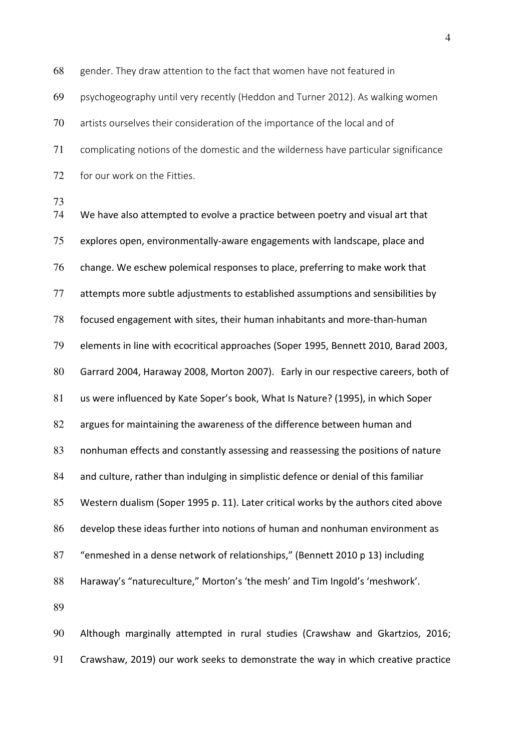gender. They draw attention to the fact that women have not featured in psychogeography until very recently (Heddon and Turner 2012). As walking women artists ourselves their consideration of the importance of the local and of complicating notions of the domestic and the wilderness have particular significance for our work on the Fitties. We have also attempted to evolve a practice between poetry and visual art that explores open, environmentally-aware engagements with landscape, place and change. We eschew polemical responses to place, preferring to make work that attempts more subtle adjustments to established assumptions and sensibilities by focused engagement with sites, their human inhabitants and more-than-human elements in line with ecocritical approaches (Soper 1995, Bennett 2010, Barad 2003, Garrard 2004, Haraway 2008, Morton 2007). Early in our respective careers, both of us were influenced by Kate Soper's book, What Is Nature? (1995), in which Soper 82 argues for maintaining the awareness of the difference between human and nonhuman effects and constantly assessing and reassessing the positions of nature and culture, rather than indulging in simplistic defence or denial of this familiar Western dualism (Soper 1995 p. 11). Later critical works by the authors cited above develop these ideas further into notions of human and nonhuman environment as "enmeshed in a dense network of relationships," (Bennett 2010 p 13) including Haraway's "natureculture," Morton's 'the mesh' and Tim Ingold's 'meshwork'. 

Although marginally attempted in rural studies (Crawshaw and Gkartzios, 2016; Crawshaw, 2019) our work seeks to demonstrate the way in which creative practice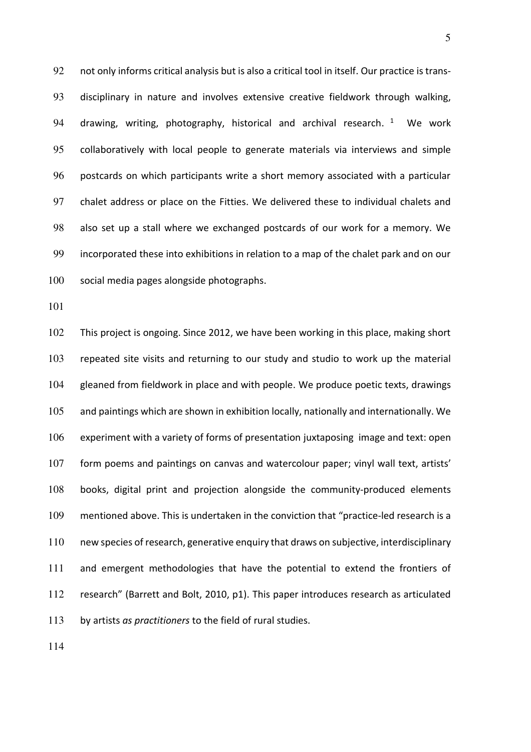92 not only informs critical analysis but is also a critical tool in itself. Our practice is trans-disciplinary in nature and involves extensive creative fieldwork through walking, 94 drawing, writing, photography, historical and archival research. <sup>1</sup> We work collaboratively with local people to generate materials via interviews and simple postcards on which participants write a short memory associated with a particular chalet address or place on the Fitties. We delivered these to individual chalets and also set up a stall where we exchanged postcards of our work for a memory. We incorporated these into exhibitions in relation to a map of the chalet park and on our social media pages alongside photographs.

This project is ongoing. Since 2012, we have been working in this place, making short repeated site visits and returning to our study and studio to work up the material gleaned from fieldwork in place and with people. We produce poetic texts, drawings and paintings which are shown in exhibition locally, nationally and internationally. We experiment with a variety of forms of presentation juxtaposing image and text: open form poems and paintings on canvas and watercolour paper; vinyl wall text, artists' books, digital print and projection alongside the community-produced elements mentioned above. This is undertaken in the conviction that "practice-led research is a new species of research, generative enquiry that draws on subjective, interdisciplinary 111 and emergent methodologies that have the potential to extend the frontiers of research" (Barrett and Bolt, 2010, p1). This paper introduces research as articulated by artists *as practitioners* to the field of rural studies.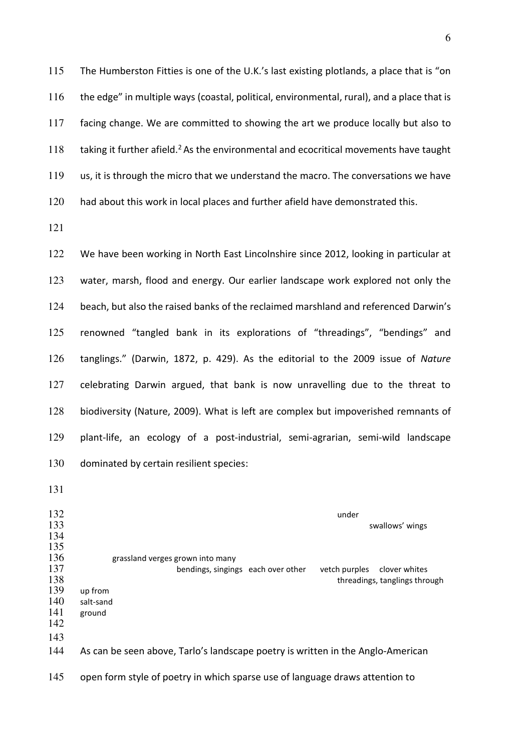The Humberston Fitties is one of the U.K.'s last existing plotlands, a place that is "on the edge" in multiple ways (coastal, political, environmental, rural), and a place that is facing change. We are committed to showing the art we produce locally but also to  $\cdot$  taking it further afield.<sup>2</sup> As the environmental and ecocritical movements have taught us, it is through the micro that we understand the macro. The conversations we have had about this work in local places and further afield have demonstrated this.

122 We have been working in North East Lincolnshire since 2012, looking in particular at water, marsh, flood and energy. Our earlier landscape work explored not only the beach, but also the raised banks of the reclaimed marshland and referenced Darwin's renowned "tangled bank in its explorations of "threadings", "bendings" and tanglings." (Darwin, 1872, p. 429). As the editorial to the 2009 issue of *Nature* celebrating Darwin argued, that bank is now unravelling due to the threat to biodiversity (Nature, 2009). What is left are complex but impoverished remnants of plant-life, an ecology of a post-industrial, semi-agrarian, semi-wild landscape dominated by certain resilient species:

132 under swallows' wings 135<br>136 grassland verges grown into many 137 bendings, singings each over other vetch purples clover whites<br>138 threadings, tanglings thro 138 threadings, tanglings through the up from the up to the up threadings, tanglings through 139 up from the up to the up to the up to the up to the up to the up to the up to the up to the up to the up to the up to the up 139 up from<br>140 salt-sand 140 salt-sand<br>141 ground ground As can be seen above, Tarlo's landscape poetry is written in the Anglo-American

145 open form style of poetry in which sparse use of language draws attention to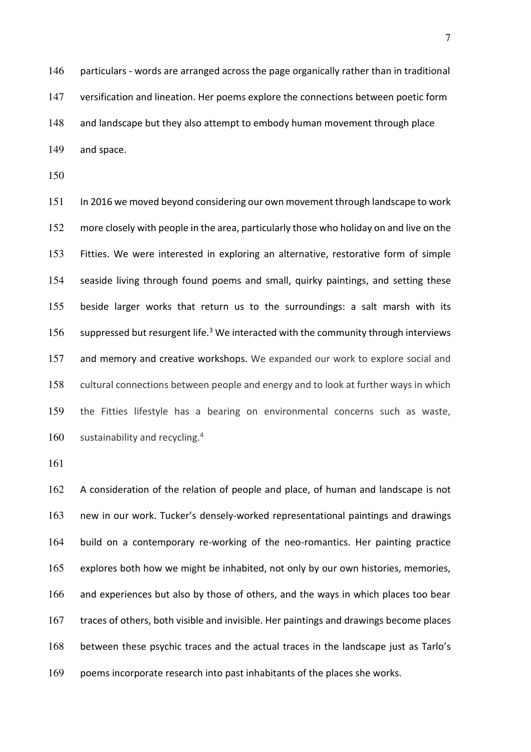146 particulars - words are arranged across the page organically rather than in traditional versification and lineation. Her poems explore the connections between poetic form and landscape but they also attempt to embody human movement through place and space.

In 2016 we moved beyond considering our own movement through landscape to work more closely with people in the area, particularly those who holiday on and live on the Fitties. We were interested in exploring an alternative, restorative form of simple seaside living through found poems and small, quirky paintings, and setting these beside larger works that return us to the surroundings: a salt marsh with its 156 suppressed but resurgent life.<sup>3</sup> We interacted with the community through interviews and memory and creative workshops. We expanded our work to explore social and cultural connections between people and energy and to look at further ways in which the Fitties lifestyle has a bearing on environmental concerns such as waste, 160 sustainability and recycling.

A consideration of the relation of people and place, of human and landscape is not new in our work. Tucker's densely-worked representational paintings and drawings build on a contemporary re-working of the neo-romantics. Her painting practice explores both how we might be inhabited, not only by our own histories, memories, 166 and experiences but also by those of others, and the ways in which places too bear traces of others, both visible and invisible. Her paintings and drawings become places between these psychic traces and the actual traces in the landscape just as Tarlo's poems incorporate research into past inhabitants of the places she works.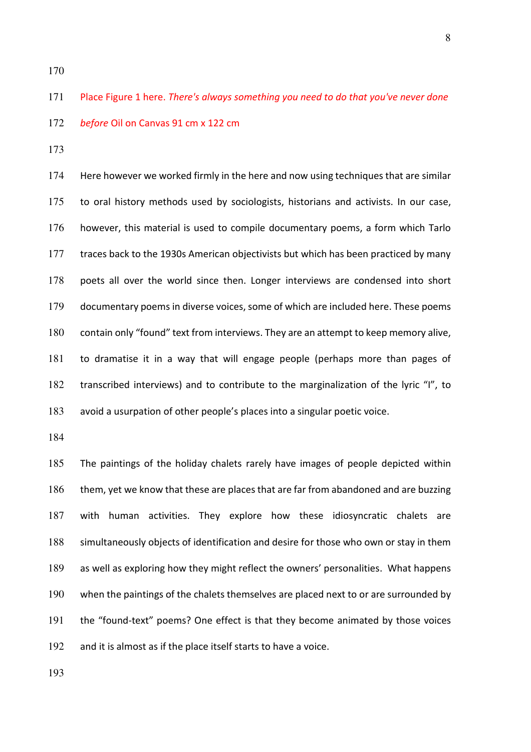Place Figure 1 here. *There's always something you need to do that you've never done before* Oil on Canvas 91 cm x 122 cm

Here however we worked firmly in the here and now using techniques that are similar to oral history methods used by sociologists, historians and activists. In our case, however, this material is used to compile documentary poems, a form which Tarlo 177 traces back to the 1930s American objectivists but which has been practiced by many poets all over the world since then. Longer interviews are condensed into short documentary poems in diverse voices, some of which are included here. These poems contain only "found" text from interviews. They are an attempt to keep memory alive, to dramatise it in a way that will engage people (perhaps more than pages of transcribed interviews) and to contribute to the marginalization of the lyric "I", to avoid a usurpation of other people's places into a singular poetic voice.

The paintings of the holiday chalets rarely have images of people depicted within 186 them, yet we know that these are places that are far from abandoned and are buzzing with human activities. They explore how these idiosyncratic chalets are simultaneously objects of identification and desire for those who own or stay in them as well as exploring how they might reflect the owners' personalities. What happens when the paintings of the chalets themselves are placed next to or are surrounded by the "found-text" poems? One effect is that they become animated by those voices 192 and it is almost as if the place itself starts to have a voice.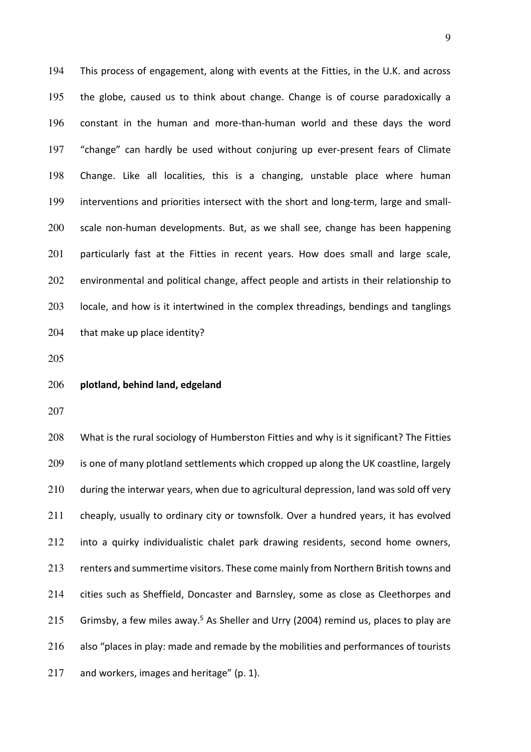This process of engagement, along with events at the Fitties, in the U.K. and across the globe, caused us to think about change. Change is of course paradoxically a constant in the human and more-than-human world and these days the word "change" can hardly be used without conjuring up ever-present fears of Climate Change. Like all localities, this is a changing, unstable place where human interventions and priorities intersect with the short and long-term, large and small-scale non-human developments. But, as we shall see, change has been happening 201 particularly fast at the Fitties in recent years. How does small and large scale, 202 environmental and political change, affect people and artists in their relationship to locale, and how is it intertwined in the complex threadings, bendings and tanglings that make up place identity?

#### **plotland, behind land, edgeland**

208 What is the rural sociology of Humberston Fitties and why is it significant? The Fitties 209 is one of many plotland settlements which cropped up along the UK coastline, largely during the interwar years, when due to agricultural depression, land was sold off very cheaply, usually to ordinary city or townsfolk. Over a hundred years, it has evolved into a quirky individualistic chalet park drawing residents, second home owners, renters and summertime visitors. These come mainly from Northern British towns and cities such as Sheffield, Doncaster and Barnsley, some as close as Cleethorpes and 215 Grimsby, a few miles away.<sup>5</sup> As Sheller and Urry (2004) remind us, places to play are 216 also "places in play: made and remade by the mobilities and performances of tourists 217 and workers, images and heritage" (p. 1).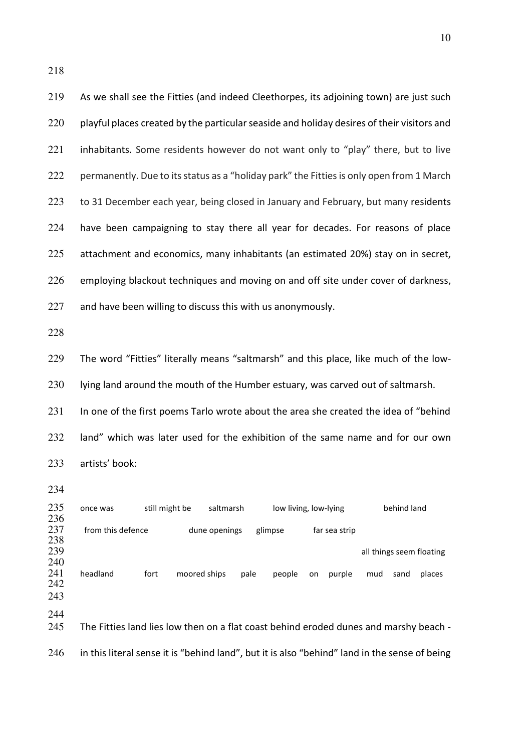| 219                      | As we shall see the Fitties (and indeed Cleethorpes, its adjoining town) are just such        |
|--------------------------|-----------------------------------------------------------------------------------------------|
| 220                      | playful places created by the particular seaside and holiday desires of their visitors and    |
| 221                      | inhabitants. Some residents however do not want only to "play" there, but to live             |
| 222                      | permanently. Due to its status as a "holiday park" the Fitties is only open from 1 March      |
| 223                      | to 31 December each year, being closed in January and February, but many residents            |
| 224                      | have been campaigning to stay there all year for decades. For reasons of place                |
| 225                      | attachment and economics, many inhabitants (an estimated 20%) stay on in secret,              |
| 226                      | employing blackout techniques and moving on and off site under cover of darkness,             |
| 227                      | and have been willing to discuss this with us anonymously.                                    |
| 228                      |                                                                                               |
| 229                      | The word "Fitties" literally means "saltmarsh" and this place, like much of the low-          |
| 230                      | lying land around the mouth of the Humber estuary, was carved out of saltmarsh.               |
| 231                      | In one of the first poems Tarlo wrote about the area she created the idea of "behind          |
| 232                      | land" which was later used for the exhibition of the same name and for our own                |
| 233                      | artists' book:                                                                                |
| 234                      |                                                                                               |
| 235<br>236               | still might be<br>saltmarsh<br>low living, low-lying<br>behind land<br>once was               |
| 237<br>238               | from this defence<br>dune openings<br>glimpse<br>far sea strip                                |
| 239                      | all things seem floating                                                                      |
| 240<br>241<br>242<br>243 | headland<br>fort<br>moored ships<br>pale<br>people<br>purple<br>places<br>mud<br>sand<br>on   |
| 244<br>245               | The Fitties land lies low then on a flat coast behind eroded dunes and marshy beach -         |
| 246                      | in this literal sense it is "behind land", but it is also "behind" land in the sense of being |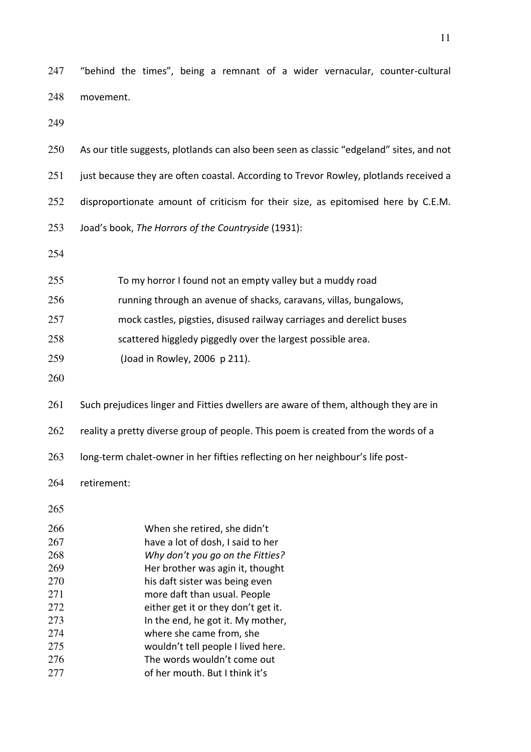"behind the times", being a remnant of a wider vernacular, counter-cultural movement.

| 250        | As our title suggests, plotlands can also been seen as classic "edgeland" sites, and not |
|------------|------------------------------------------------------------------------------------------|
| 251        | just because they are often coastal. According to Trevor Rowley, plotlands received a    |
| 252        | disproportionate amount of criticism for their size, as epitomised here by C.E.M.        |
| 253        | Joad's book, The Horrors of the Countryside (1931):                                      |
| 254        |                                                                                          |
| 255        | To my horror I found not an empty valley but a muddy road                                |
| 256        | running through an avenue of shacks, caravans, villas, bungalows,                        |
| 257        | mock castles, pigsties, disused railway carriages and derelict buses                     |
| 258        | scattered higgledy piggedly over the largest possible area.                              |
| 259        | (Joad in Rowley, 2006 p 211).                                                            |
| 260        |                                                                                          |
| 261        | Such prejudices linger and Fitties dwellers are aware of them, although they are in      |
| 262        | reality a pretty diverse group of people. This poem is created from the words of a       |
| 263        | long-term chalet-owner in her fifties reflecting on her neighbour's life post-           |
| 264        | retirement:                                                                              |
| 265        |                                                                                          |
| 266        | When she retired, she didn't                                                             |
| 267        | have a lot of dosh, I said to her                                                        |
| 268        | Why don't you go on the Fitties?                                                         |
| 269<br>270 | Her brother was agin it, thought<br>his daft sister was being even                       |
|            |                                                                                          |

more daft than usual. People either get it or they don't get it.

273 In the end, he got it. My mother,

where she came from, she

- wouldn't tell people I lived here.
- 276 The words wouldn't come out of her mouth. But I think it's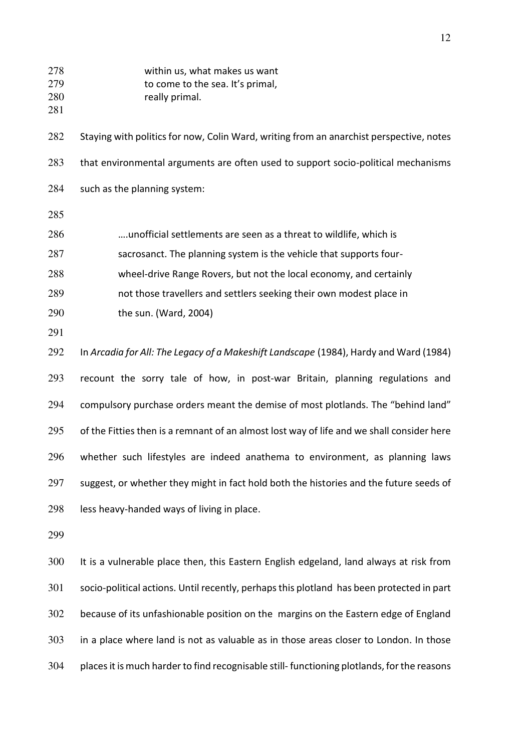| 278<br>279<br>280<br>281 | within us, what makes us want<br>to come to the sea. It's primal,<br>really primal.       |
|--------------------------|-------------------------------------------------------------------------------------------|
| 282                      | Staying with politics for now, Colin Ward, writing from an anarchist perspective, notes   |
| 283                      | that environmental arguments are often used to support socio-political mechanisms         |
| 284                      | such as the planning system:                                                              |
| 285                      |                                                                                           |
| 286                      | unofficial settlements are seen as a threat to wildlife, which is                         |
| 287                      | sacrosanct. The planning system is the vehicle that supports four-                        |
| 288                      | wheel-drive Range Rovers, but not the local economy, and certainly                        |
| 289                      | not those travellers and settlers seeking their own modest place in                       |
| 290                      | the sun. (Ward, 2004)                                                                     |
| 291                      |                                                                                           |
| 292                      | In Arcadia for All: The Legacy of a Makeshift Landscape (1984), Hardy and Ward (1984)     |
| 293                      | recount the sorry tale of how, in post-war Britain, planning regulations and              |
| 294                      | compulsory purchase orders meant the demise of most plotlands. The "behind land"          |
| 295                      | of the Fitties then is a remnant of an almost lost way of life and we shall consider here |
| 296                      | whether such lifestyles are indeed anathema to environment, as planning laws              |
| 297                      | suggest, or whether they might in fact hold both the histories and the future seeds of    |
| 298                      | less heavy-handed ways of living in place.                                                |
| 299                      |                                                                                           |

It is a vulnerable place then, this Eastern English edgeland, land always at risk from socio-political actions. Until recently, perhaps this plotland has been protected in part because of its unfashionable position on the margins on the Eastern edge of England in a place where land is not as valuable as in those areas closer to London. In those places it is much harder to find recognisable still- functioning plotlands, for the reasons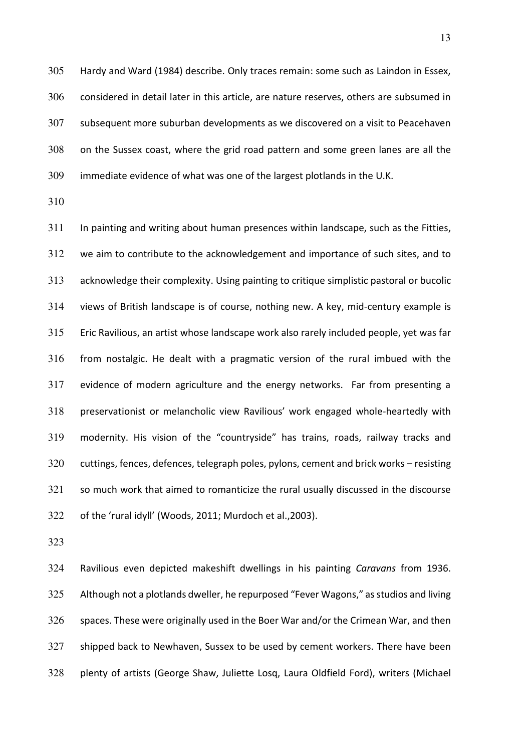Hardy and Ward (1984) describe. Only traces remain: some such as Laindon in Essex, considered in detail later in this article, are nature reserves, others are subsumed in subsequent more suburban developments as we discovered on a visit to Peacehaven on the Sussex coast, where the grid road pattern and some green lanes are all the immediate evidence of what was one of the largest plotlands in the U.K.

In painting and writing about human presences within landscape, such as the Fitties, we aim to contribute to the acknowledgement and importance of such sites, and to acknowledge their complexity. Using painting to critique simplistic pastoral or bucolic views of British landscape is of course, nothing new. A key, mid-century example is Eric Ravilious, an artist whose landscape work also rarely included people, yet was far from nostalgic. He dealt with a pragmatic version of the rural imbued with the evidence of modern agriculture and the energy networks. Far from presenting a preservationist or melancholic view Ravilious' work engaged whole-heartedly with modernity. His vision of the "countryside" has trains, roads, railway tracks and cuttings, fences, defences, telegraph poles, pylons, cement and brick works – resisting so much work that aimed to romanticize the rural usually discussed in the discourse of the 'rural idyll' (Woods, 2011; Murdoch et al.,2003).

Ravilious even depicted makeshift dwellings in his painting *Caravans* from 1936. Although not a plotlands dweller, he repurposed "Fever Wagons," as studios and living spaces. These were originally used in the Boer War and/or the Crimean War, and then shipped back to Newhaven, Sussex to be used by cement workers. There have been plenty of artists (George Shaw, Juliette Losq, Laura Oldfield Ford), writers (Michael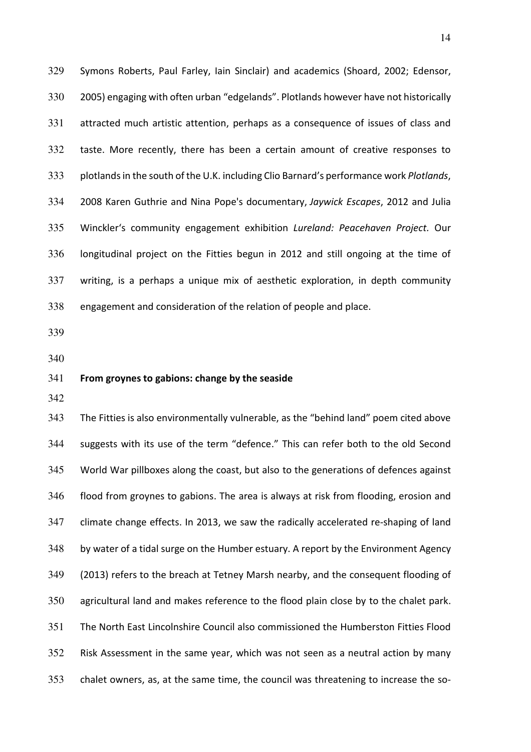Symons Roberts, Paul Farley, Iain Sinclair) and academics (Shoard, 2002; Edensor, 2005) engaging with often urban "edgelands". Plotlands however have not historically attracted much artistic attention, perhaps as a consequence of issues of class and taste. More recently, there has been a certain amount of creative responses to plotlands in the south of the U.K. includin[g Clio Barnard](https://www.whitstablebiennale.com/artists/clio-barnard/)'s performance work *Plotlands*, 2008 Karen Guthrie and Nina Pope's documentary, *[Jaywick Escapes](http://www.jaywickescapes.com/)*, 2012 and Julia Winckler's community engagement exhibition *Lureland: Peacehaven Project.* Our longitudinal project on the Fitties begun in 2012 and still ongoing at the time of writing, is a perhaps a unique mix of aesthetic exploration, in depth community engagement and consideration of the relation of people and place.

### **From groynes to gabions: change by the seaside**

The Fitties is also environmentally vulnerable, as the "behind land" poem cited above suggests with its use of the term "defence." This can refer both to the old Second World War pillboxes along the coast, but also to the generations of defences against flood from groynes to gabions. The area is always at risk from flooding, erosion and climate change effects. In 2013, we saw the radically accelerated re-shaping of land by water of a tidal surge on the Humber estuary. A report by the Environment Agency (2013) refers to the breach at Tetney Marsh nearby, and the consequent flooding of agricultural land and makes reference to the flood plain close by to the chalet park. The North East Lincolnshire Council also commissioned the Humberston Fitties Flood Risk Assessment in the same year, which was not seen as a neutral action by many chalet owners, as, at the same time, the council was threatening to increase the so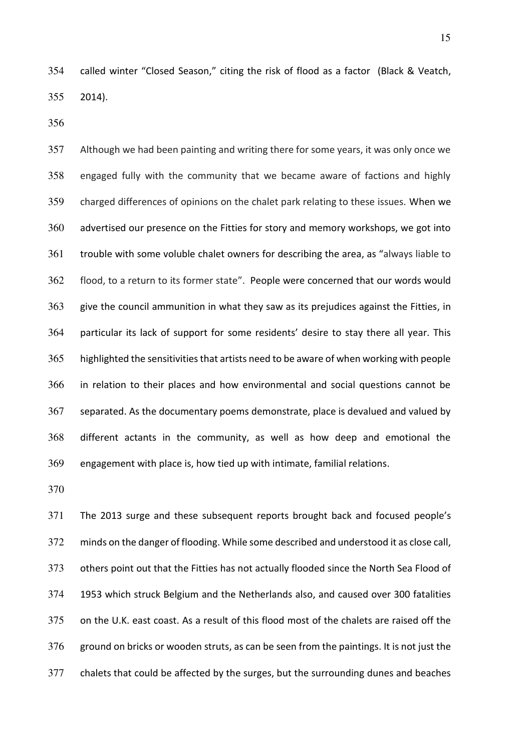called winter "Closed Season," citing the risk of flood as a factor (Black & Veatch, 2014).

Although we had been painting and writing there for some years, it was only once we engaged fully with the community that we became aware of factions and highly charged differences of opinions on the chalet park relating to these issues. When we advertised our presence on the Fitties for story and memory workshops, we got into trouble with some voluble chalet owners for describing the area, as "always liable to flood, to a return to its former state". People were concerned that our words would give the council ammunition in what they saw as its prejudices against the Fitties, in particular its lack of support for some residents' desire to stay there all year. This highlighted the sensitivities that artists need to be aware of when working with people in relation to their places and how environmental and social questions cannot be separated. As the documentary poems demonstrate, place is devalued and valued by different actants in the community, as well as how deep and emotional the engagement with place is, how tied up with intimate, familial relations.

The 2013 surge and these subsequent reports brought back and focused people's minds on the danger of flooding. While some described and understood it as close call, others point out that the Fitties has not actually flooded since the North Sea Flood of 1953 which struck Belgium and the Netherlands also, and caused over 300 fatalities on the U.K. east coast. As a result of this flood most of the chalets are raised off the ground on bricks or wooden struts, as can be seen from the paintings. It is not just the chalets that could be affected by the surges, but the surrounding dunes and beaches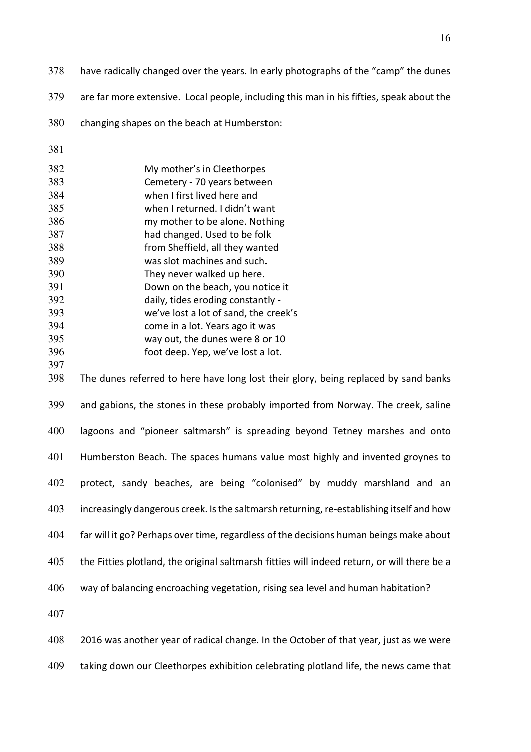- have radically changed over the years. In early photographs of the "camp" the dunes
- are far more extensive. Local people, including this man in his fifties, speak about the
- changing shapes on the beach at Humberston:
- 

| 382 | My mother's in Cleethorpes            |
|-----|---------------------------------------|
| 383 | Cemetery - 70 years between           |
| 384 | when I first lived here and           |
| 385 | when I returned. I didn't want        |
| 386 | my mother to be alone. Nothing        |
| 387 | had changed. Used to be folk          |
| 388 | from Sheffield, all they wanted       |
| 389 | was slot machines and such.           |
| 390 | They never walked up here.            |
| 391 | Down on the beach, you notice it      |
| 392 | daily, tides eroding constantly -     |
| 393 | we've lost a lot of sand, the creek's |
| 394 | come in a lot. Years ago it was       |
| 395 | way out, the dunes were 8 or 10       |
| 396 | foot deep. Yep, we've lost a lot.     |

The dunes referred to here have long lost their glory, being replaced by sand banks and gabions, the stones in these probably imported from Norway. The creek, saline lagoons and "pioneer saltmarsh" is spreading beyond Tetney marshes and onto Humberston Beach. The spaces humans value most highly and invented groynes to protect, sandy beaches, are being "colonised" by muddy marshland and an increasingly dangerous creek. Is the saltmarsh returning, re-establishing itself and how far will it go? Perhaps over time, regardless of the decisions human beings make about 405 the Fitties plotland, the original saltmarsh fitties will indeed return, or will there be a way of balancing encroaching vegetation, rising sea level and human habitation?

2016 was another year of radical change. In the October of that year, just as we were

taking down our Cleethorpes exhibition celebrating plotland life, the news came that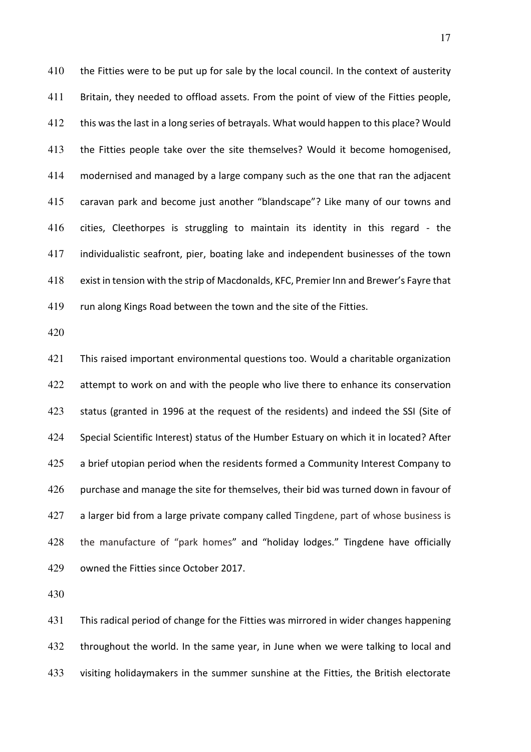410 the Fitties were to be put up for sale by the local council. In the context of austerity Britain, they needed to offload assets. From the point of view of the Fitties people, this was the last in a long series of betrayals. What would happen to this place? Would the Fitties people take over the site themselves? Would it become homogenised, modernised and managed by a large company such as the one that ran the adjacent caravan park and become just another "blandscape"? Like many of our towns and cities, Cleethorpes is struggling to maintain its identity in this regard - the individualistic seafront, pier, boating lake and independent businesses of the town exist in tension with the strip of Macdonalds, KFC, Premier Inn and Brewer's Fayre that run along Kings Road between the town and the site of the Fitties.

This raised important environmental questions too. Would a charitable organization 422 attempt to work on and with the people who live there to enhance its conservation status (granted in 1996 at the request of the residents) and indeed the SSI (Site of Special Scientific Interest) status of the Humber Estuary on which it in located? After 425 a brief utopian period when the residents formed a Community Interest Company to 426 purchase and manage the site for themselves, their bid was turned down in favour of 427 a larger bid from a large private company called Tingdene, part of whose business is the manufacture of "park homes" and "holiday lodges." Tingdene have officially owned the Fitties since October 2017.

This radical period of change for the Fitties was mirrored in wider changes happening throughout the world. In the same year, in June when we were talking to local and visiting holidaymakers in the summer sunshine at the Fitties, the British electorate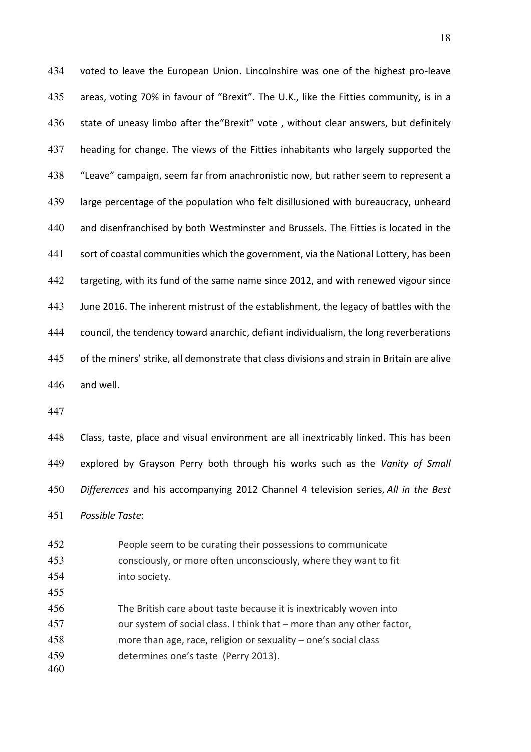voted to leave the European Union. Lincolnshire was one of the highest pro-leave areas, voting 70% in favour of "Brexit". The U.K., like the Fitties community, is in a state of uneasy limbo after the"Brexit" vote , without clear answers, but definitely heading for change. The views of the Fitties inhabitants who largely supported the "Leave" campaign, seem far from anachronistic now, but rather seem to represent a large percentage of the population who felt disillusioned with bureaucracy, unheard and disenfranchised by both Westminster and Brussels. The Fitties is located in the sort of coastal communities which the government, via the National Lottery, has been targeting, with its fund of the same name since 2012, and with renewed vigour since June 2016. The inherent mistrust of the establishment, the legacy of battles with the council, the tendency toward anarchic, defiant individualism, the long reverberations of the miners' strike, all demonstrate that class divisions and strain in Britain are alive and well.

Class, taste, place and visual environment are all inextricably linked. This has been explored by Grayson Perry both through his works such as the *Vanity of Small Differences* and his accompanying 2012 Channel 4 television series, *All in the Best Possible Taste*:

People seem to be curating their possessions to communicate consciously, or more often unconsciously, where they want to fit into society. The British care about taste because it is inextricably woven into our system of social class. I think that – more than any other factor, more than age, race, religion or sexuality – one's social class determines one's taste (Perry 2013).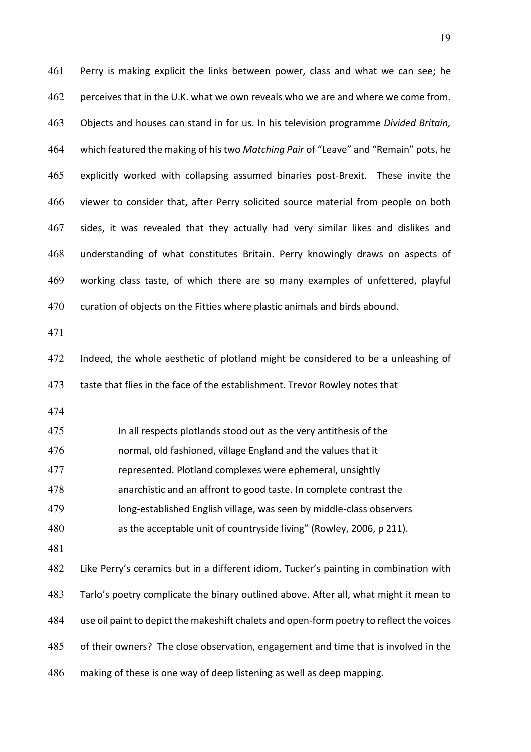Perry is making explicit the links between power, class and what we can see; he perceives that in the U.K. what we own reveals who we are and where we come from. Objects and houses can stand in for us. In his television programme *Divided Britain,*  which featured the making of his two *Matching Pair* of "Leave" and "Remain" pots, he explicitly worked with collapsing assumed binaries post-Brexit. These invite the viewer to consider that, after Perry solicited source material from people on both sides, it was revealed that they actually had very similar likes and dislikes and understanding of what constitutes Britain. Perry knowingly draws on aspects of working class taste, of which there are so many examples of unfettered, playful curation of objects on the Fitties where plastic animals and birds abound. 

Indeed, the whole aesthetic of plotland might be considered to be a unleashing of 473 taste that flies in the face of the establishment. Trevor Rowley notes that

In all respects plotlands stood out as the very antithesis of the

normal, old fashioned, village England and the values that it

represented. Plotland complexes were ephemeral, unsightly

anarchistic and an affront to good taste. In complete contrast the

long-established English village, was seen by middle-class observers

as the acceptable unit of countryside living" (Rowley, 2006, p 211).

Like Perry's ceramics but in a different idiom, Tucker's painting in combination with Tarlo's poetry complicate the binary outlined above. After all, what might it mean to use oil paint to depict the makeshift chalets and open-form poetry to reflect the voices of their owners? The close observation, engagement and time that is involved in the making of these is one way of deep listening as well as deep mapping.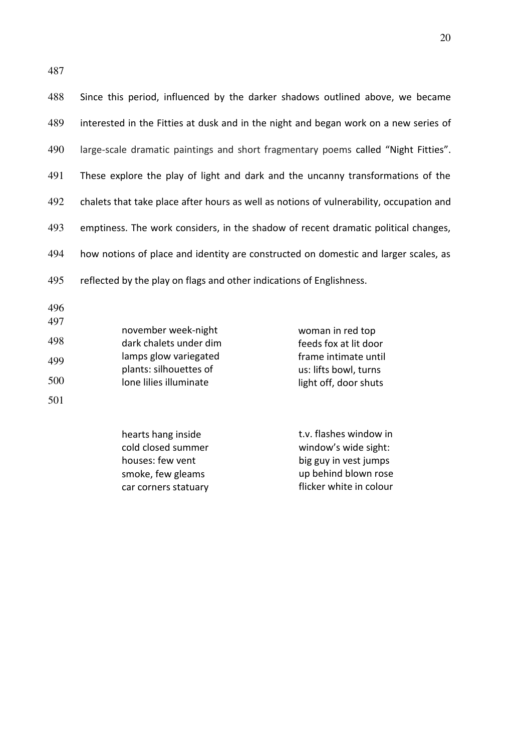Since this period, influenced by the darker shadows outlined above, we became interested in the Fitties at dusk and in the night and began work on a new series of large-scale dramatic paintings and short fragmentary poems called "Night Fitties". These explore the play of light and dark and the uncanny transformations of the chalets that take place after hours as well as notions of vulnerability, occupation and emptiness. The work considers, in the shadow of recent dramatic political changes, 494 how notions of place and identity are constructed on domestic and larger scales, as 495 reflected by the play on flags and other indications of Englishness.

496

| 497 |                        |                       |
|-----|------------------------|-----------------------|
|     | november week-night    | woman in red top      |
| 498 | dark chalets under dim | feeds fox at lit door |
| 499 | lamps glow variegated  | frame intimate until  |
|     | plants: silhouettes of | us: lifts bowl, turns |
| 500 | Ione lilies illuminate | light off, door shuts |
| 501 |                        |                       |

hearts hang inside cold closed summer houses: few vent smoke, few gleams car corners statuary t.v. flashes window in window's wide sight: big guy in vest jumps up behind blown rose flicker white in colour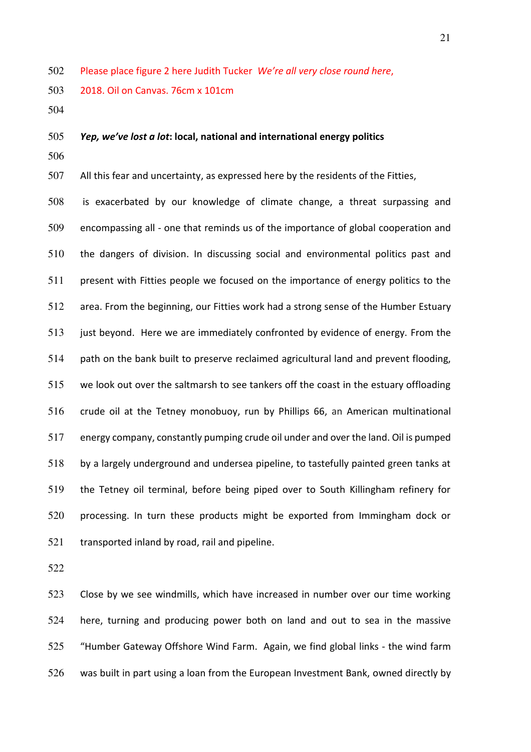Please place figure 2 here Judith Tucker *We're all very close round here*,

2018. Oil on Canvas. 76cm x 101cm

### *Yep, we've lost a lot***: local, national and international energy politics**

All this fear and uncertainty, as expressed here by the residents of the Fitties,

is exacerbated by our knowledge of climate change, a threat surpassing and encompassing all - one that reminds us of the importance of global cooperation and the dangers of division. In discussing social and environmental politics past and present with Fitties people we focused on the importance of energy politics to the area. From the beginning, our Fitties work had a strong sense of the Humber Estuary just beyond. Here we are immediately confronted by evidence of energy. From the path on the bank built to preserve reclaimed agricultural land and prevent flooding, we look out over the saltmarsh to see tankers off the coast in the estuary offloading crude oil at the Tetney monobuoy, run by Phillips 66, an American multinational energy company, constantly pumping crude oil under and over the land. Oil is pumped by a largely underground and undersea pipeline, to tastefully painted green tanks at the Tetney oil terminal, before being piped over to South Killingham refinery for processing. In turn these products might be exported from Immingham dock or 521 transported inland by road, rail and pipeline.

Close by we see windmills, which have increased in number over our time working here, turning and producing power both on land and out to sea in the massive "Humber Gateway Offshore Wind Farm. Again, we find global links - the wind farm was built in part using a loan from the European Investment Bank, owned directly by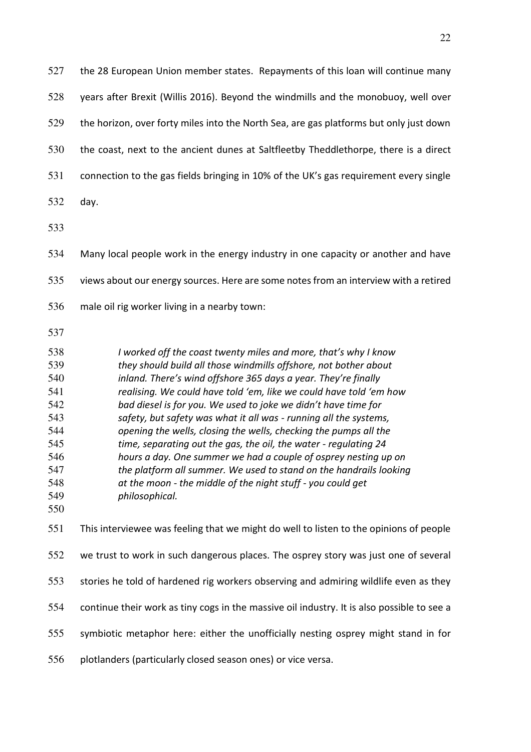the 28 European Union member states. Repayments of this loan will continue many years after Brexit (Willis 2016). Beyond the windmills and the monobuoy, well over the horizon, over forty miles into the North Sea, are gas platforms but only just down the coast, next to the ancient dunes at Saltfleetby Theddlethorpe, there is a direct connection to the gas fields bringing in 10% of the UK's gas requirement every single day. Many local people work in the energy industry in one capacity or another and have views about our energy sources. Here are some notes from an interview with a retired male oil rig worker living in a nearby town: *I worked off the coast twenty miles and more, that's why I know they should build all those windmills offshore, not bother about inland. There's wind offshore 365 days a year. They're finally realising. We could have told 'em, like we could have told 'em how bad diesel is for you. We used to joke we didn't have time for safety, but safety was what it all was - running all the systems, opening the wells, closing the wells, checking the pumps all the time, separating out the gas, the oil, the water - regulating 24 hours a day. One summer we had a couple of osprey nesting up on* 

- *at the moon the middle of the night stuff you could get philosophical.*
- 

This interviewee was feeling that we might do well to listen to the opinions of people we trust to work in such dangerous places. The osprey story was just one of several stories he told of hardened rig workers observing and admiring wildlife even as they continue their work as tiny cogs in the massive oil industry. It is also possible to see a symbiotic metaphor here: either the unofficially nesting osprey might stand in for

*the platform all summer. We used to stand on the handrails looking* 

plotlanders (particularly closed season ones) or vice versa.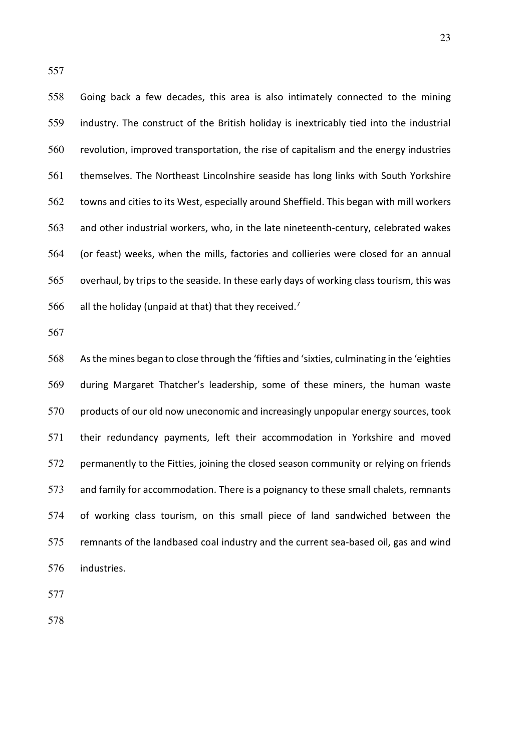Going back a few decades, this area is also intimately connected to the mining industry. The construct of the British holiday is inextricably tied into the industrial revolution, improved transportation, the rise of capitalism and the energy industries themselves. The Northeast Lincolnshire seaside has long links with South Yorkshire towns and cities to its West, especially around Sheffield. This began with mill workers and other industrial workers, who, in the late nineteenth-century, celebrated wakes (or feast) weeks, when the mills, factories and collieries were closed for an annual overhaul, by trips to the seaside. In these early days of working class tourism, this was 566 all the holiday (unpaid at that) that they received.<sup>7</sup>

As the mines began to close through the 'fifties and 'sixties, culminating in the 'eighties during Margaret Thatcher's leadership, some of these miners, the human waste 570 products of our old now uneconomic and increasingly unpopular energy sources, took their redundancy payments, left their accommodation in Yorkshire and moved permanently to the Fitties, joining the closed season community or relying on friends and family for accommodation. There is a poignancy to these small chalets, remnants of working class tourism, on this small piece of land sandwiched between the remnants of the landbased coal industry and the current sea-based oil, gas and wind industries.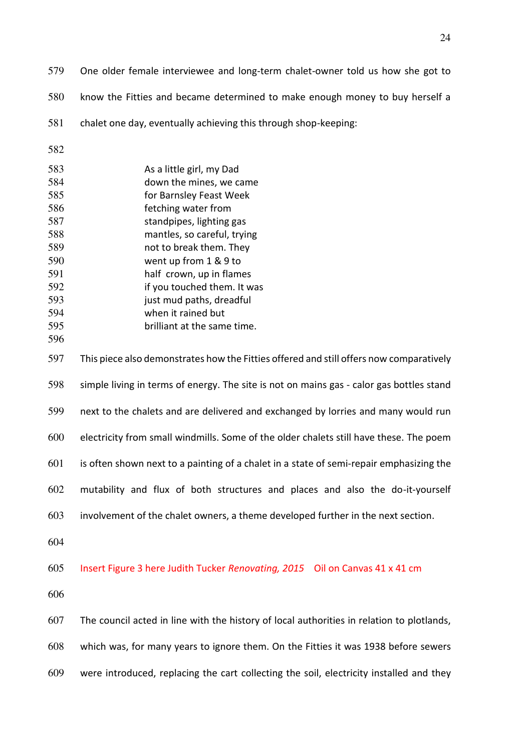- One older female interviewee and long-term chalet-owner told us how she got to know the Fitties and became determined to make enough money to buy herself a chalet one day, eventually achieving this through shop-keeping: As a little girl, my Dad down the mines, we came for Barnsley Feast Week fetching water from standpipes, lighting gas mantles, so careful, trying not to break them. They went up from 1 & 9 to half crown, up in flames if you touched them. It was just mud paths, dreadful when it rained but brilliant at the same time. This piece also demonstrates how the Fitties offered and still offers now comparatively simple living in terms of energy. The site is not on mains gas - calor gas bottles stand next to the chalets and are delivered and exchanged by lorries and many would run electricity from small windmills. Some of the older chalets still have these. The poem is often shown next to a painting of a chalet in a state of semi-repair emphasizing the mutability and flux of both structures and places and also the do-it-yourself involvement of the chalet owners, a theme developed further in the next section. Insert Figure 3 here Judith Tucker *Renovating, 2015* Oil on Canvas 41 x 41 cm The council acted in line with the history of local authorities in relation to plotlands, which was, for many years to ignore them. On the Fitties it was 1938 before sewers
- were introduced, replacing the cart collecting the soil, electricity installed and they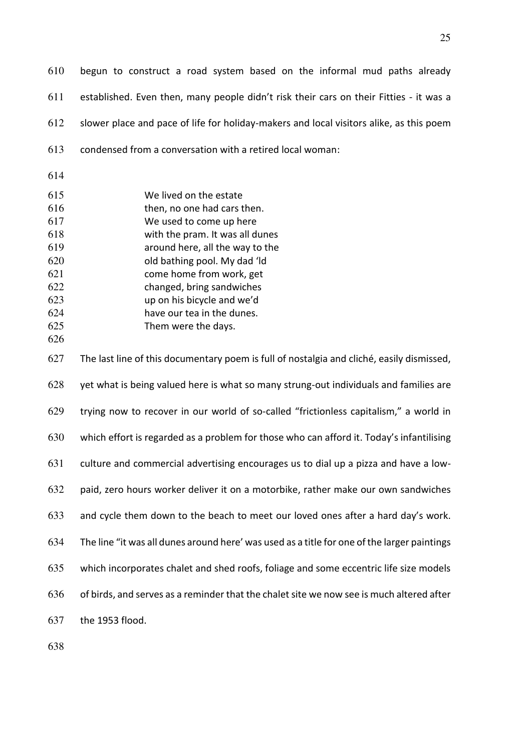begun to construct a road system based on the informal mud paths already established. Even then, many people didn't risk their cars on their Fitties - it was a slower place and pace of life for holiday-makers and local visitors alike, as this poem condensed from a conversation with a retired local woman:

| 615 | We lived on the estate      |
|-----|-----------------------------|
| 616 | then, no one had cars then. |
| 617 | We used to come up here     |

with the pram. It was all dunes

around here, all the way to the

old bathing pool. My dad 'ld

come home from work, get

changed, bring sandwiches

up on his bicycle and we'd

have our tea in the dunes.

Them were the days.

The last line of this documentary poem is full of nostalgia and cliché, easily dismissed,

yet what is being valued here is what so many strung-out individuals and families are trying now to recover in our world of so-called "frictionless capitalism," a world in which effort is regarded as a problem for those who can afford it. Today's infantilising culture and commercial advertising encourages us to dial up a pizza and have a low-paid, zero hours worker deliver it on a motorbike, rather make our own sandwiches and cycle them down to the beach to meet our loved ones after a hard day's work. The line "it was all dunes around here' was used as a title for one of the larger paintings which incorporates chalet and shed roofs, foliage and some eccentric life size models of birds, and serves as a reminder that the chalet site we now see is much altered after

the 1953 flood.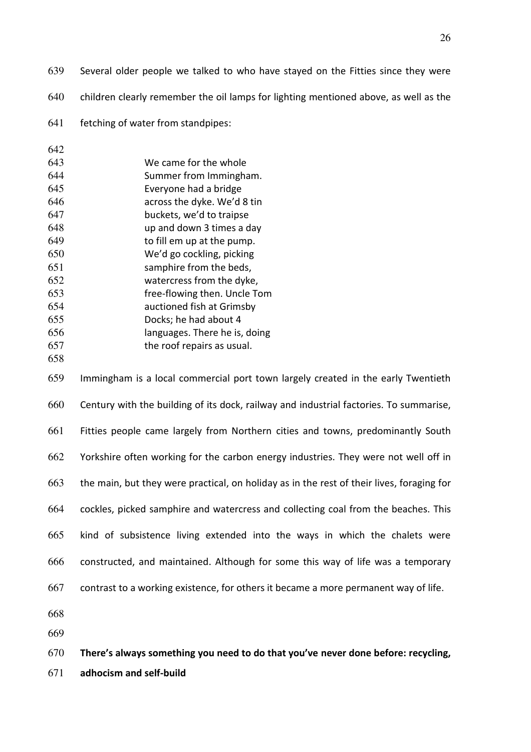- Several older people we talked to who have stayed on the Fitties since they were
- children clearly remember the oil lamps for lighting mentioned above, as well as the
- fetching of water from standpipes:

| 642 |                               |
|-----|-------------------------------|
| 643 | We came for the whole         |
| 644 | Summer from Immingham.        |
| 645 | Everyone had a bridge         |
| 646 | across the dyke. We'd 8 tin   |
| 647 | buckets, we'd to traipse      |
| 648 | up and down 3 times a day     |
| 649 | to fill em up at the pump.    |
| 650 | We'd go cockling, picking     |
| 651 | samphire from the beds,       |
| 652 | watercress from the dyke,     |
| 653 | free-flowing then. Uncle Tom  |
| 654 | auctioned fish at Grimsby     |
| 655 | Docks; he had about 4         |
| 656 | languages. There he is, doing |
| 657 | the roof repairs as usual.    |

Immingham is a local commercial port town largely created in the early Twentieth Century with the building of its dock, railway and industrial factories. To summarise, Fitties people came largely from Northern cities and towns, predominantly South Yorkshire often working for the carbon energy industries. They were not well off in the main, but they were practical, on holiday as in the rest of their lives, foraging for cockles, picked samphire and watercress and collecting coal from the beaches. This kind of subsistence living extended into the ways in which the chalets were constructed, and maintained. Although for some this way of life was a temporary contrast to a working existence, for others it became a more permanent way of life.

- 
- 

**There's always something you need to do that you've never done before: recycling,** 

**adhocism and self-build**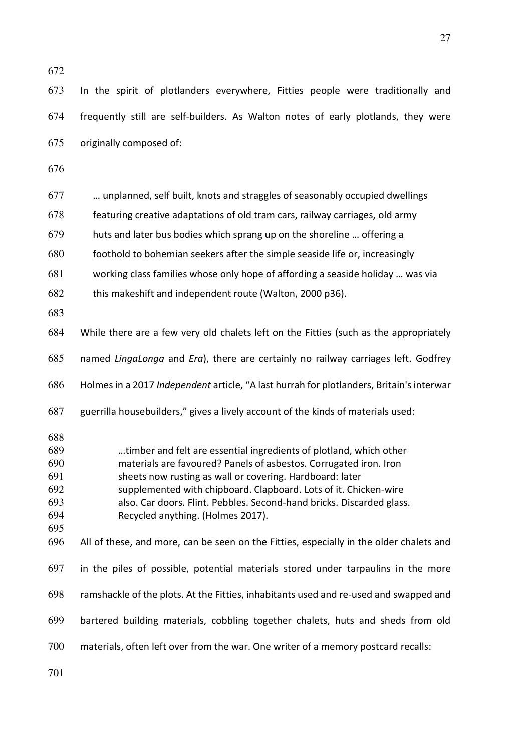In the spirit of plotlanders everywhere, Fitties people were traditionally and frequently still are self-builders. As Walton notes of early plotlands, they were originally composed of: … unplanned, self built, knots and straggles of seasonably occupied dwellings featuring creative adaptations of old tram cars, railway carriages, old army huts and later bus bodies which sprang up on the shoreline … offering a foothold to bohemian seekers after the simple seaside life or, increasingly working class families whose only hope of affording a seaside holiday … was via this makeshift and independent route (Walton, 2000 p36). While there are a few very old chalets left on the Fitties (such as the appropriately named *LingaLonga* and *Era*), there are certainly no railway carriages left. Godfrey Holmes in a 2017 *Independent* article, "A last hurrah for plotlanders, Britain's interwar guerrilla housebuilders," gives a lively account of the kinds of materials used: …timber and felt are essential ingredients of plotland, which other materials are favoured? Panels of asbestos. Corrugated iron. Iron sheets now rusting as wall or covering. Hardboard: later supplemented with chipboard. Clapboard. Lots of it. Chicken-wire also. Car doors. Flint. Pebbles. Second-hand bricks. Discarded glass. Recycled anything. (Holmes 2017). All of these, and more, can be seen on the Fitties, especially in the older chalets and in the piles of possible, potential materials stored under tarpaulins in the more ramshackle of the plots. At the Fitties, inhabitants used and re-used and swapped and bartered building materials, cobbling together chalets, huts and sheds from old materials, often left over from the war. One writer of a memory postcard recalls: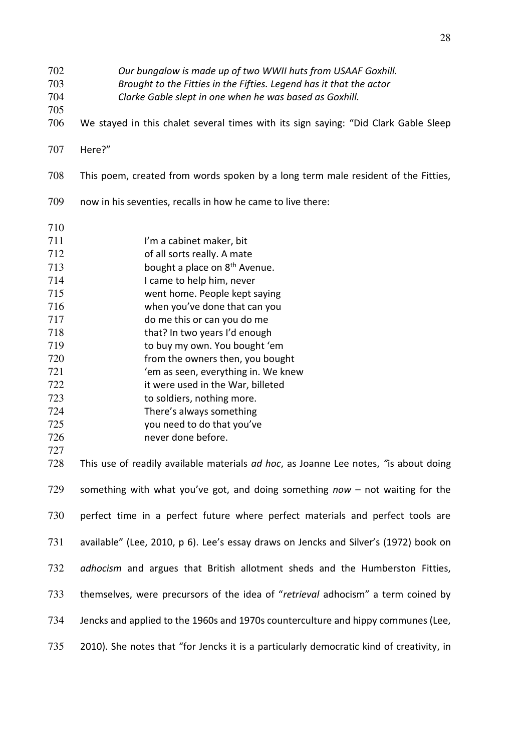*Our bungalow is made up of two WWII huts from USAAF Goxhill.* 

- *Brought to the Fitties in the Fifties. Legend has it that the actor*
- *Clarke Gable slept in one when he was based as Goxhill.*
- We stayed in this chalet several times with its sign saying: "Did Clark Gable Sleep
- Here?"
- This poem, created from words spoken by a long term male resident of the Fitties,
- now in his seventies, recalls in how he came to live there:
- 711 I'm a cabinet maker, bit
- of all sorts really. A mate
- bought a place on  $8<sup>th</sup>$  Avenue.
- I came to help him, never
- 
- went home. People kept saying
- when you've done that can you do me this or can you do me
- that? In two years I'd enough
- to buy my own. You bought 'em
- from the owners then, you bought
- 'em as seen, everything in. We knew
- it were used in the War, billeted
- to soldiers, nothing more.
- There's always something
- you need to do that you've
- never done before.
- This use of readily available materials *ad hoc*, as Joanne Lee notes, *"*is about doing something with what you've got, and doing something *now* – not waiting for the perfect time in a perfect future where perfect materials and perfect tools are available" (Lee, 2010, p 6). Lee's essay draws on Jencks and Silver's (1972) book on *adhocism* and argues that British allotment sheds and the Humberston Fitties, themselves, were precursors of the idea of "*retrieval* adhocism" a term coined by Jencks and applied to the 1960s and 1970s counterculture and hippy communes (Lee, 735 2010). She notes that "for Jencks it is a particularly democratic kind of creativity, in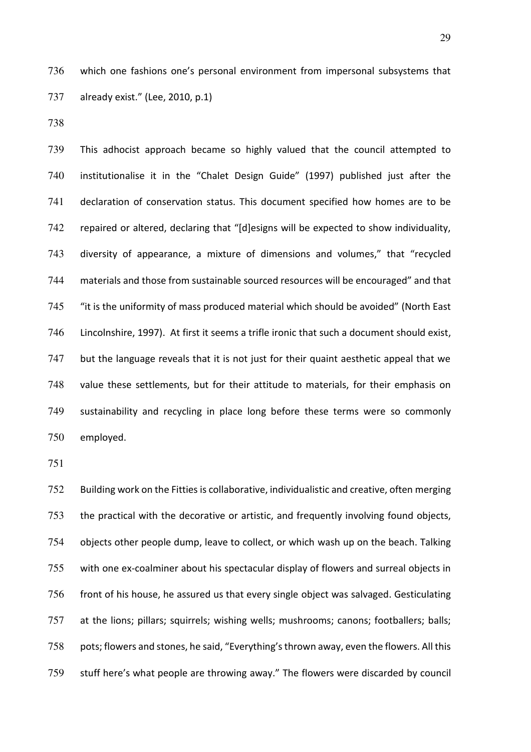which one fashions one's personal environment from impersonal subsystems that already exist." (Lee, 2010, p.1)

This adhocist approach became so highly valued that the council attempted to institutionalise it in the "Chalet Design Guide" (1997) published just after the declaration of conservation status. This document specified how homes are to be repaired or altered, declaring that "[d]esigns will be expected to show individuality, diversity of appearance, a mixture of dimensions and volumes," that "recycled materials and those from sustainable sourced resources will be encouraged" and that "it is the uniformity of mass produced material which should be avoided" (North East Lincolnshire, 1997). At first it seems a trifle ironic that such a document should exist, 747 but the language reveals that it is not just for their quaint aesthetic appeal that we value these settlements, but for their attitude to materials, for their emphasis on sustainability and recycling in place long before these terms were so commonly employed.

752 Building work on the Fitties is collaborative, individualistic and creative, often merging the practical with the decorative or artistic, and frequently involving found objects, objects other people dump, leave to collect, or which wash up on the beach. Talking with one ex-coalminer about his spectacular display of flowers and surreal objects in front of his house, he assured us that every single object was salvaged. Gesticulating at the lions; pillars; squirrels; wishing wells; mushrooms; canons; footballers; balls; 758 pots; flowers and stones, he said, "Everything's thrown away, even the flowers. All this stuff here's what people are throwing away." The flowers were discarded by council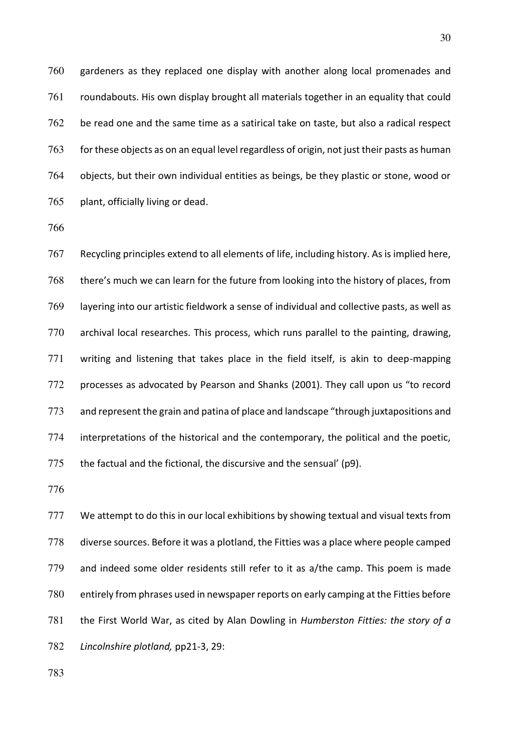gardeners as they replaced one display with another along local promenades and roundabouts. His own display brought all materials together in an equality that could be read one and the same time as a satirical take on taste, but also a radical respect 763 for these objects as on an equal level regardless of origin, not just their pasts as human objects, but their own individual entities as beings, be they plastic or stone, wood or plant, officially living or dead.

Recycling principles extend to all elements of life, including history. As is implied here, there's much we can learn for the future from looking into the history of places, from layering into our artistic fieldwork a sense of individual and collective pasts, as well as archival local researches. This process, which runs parallel to the painting, drawing, writing and listening that takes place in the field itself, is akin to deep-mapping processes as advocated by Pearson and Shanks (2001). They call upon us "to record and represent the grain and patina of place and landscape "through juxtapositions and interpretations of the historical and the contemporary, the political and the poetic, 775 the factual and the fictional, the discursive and the sensual' (p9).

777 We attempt to do this in our local exhibitions by showing textual and visual texts from diverse sources. Before it was a plotland, the Fitties was a place where people camped and indeed some older residents still refer to it as a/the camp. This poem is made entirely from phrases used in newspaper reports on early camping at the Fitties before the First World War, as cited by Alan Dowling in *Humberston Fitties: the story of a Lincolnshire plotland,* pp21-3, 29: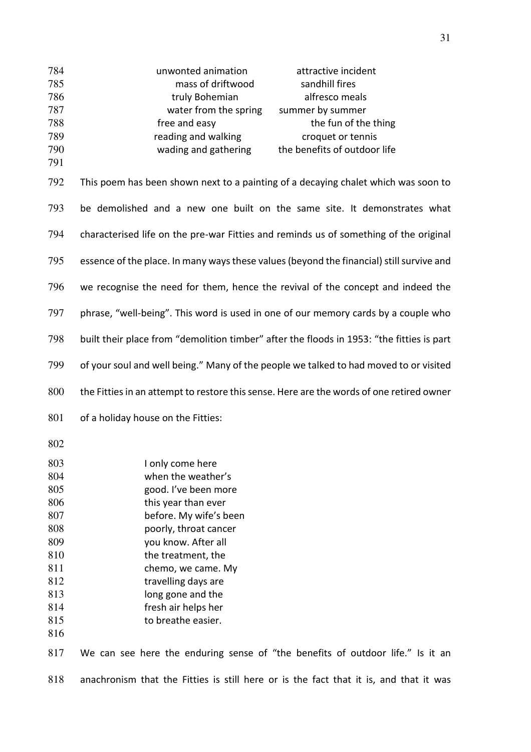| 784<br>785<br>786<br>787<br>788<br>789<br>790<br>791 | unwonted animation<br>attractive incident<br>mass of driftwood<br>sandhill fires<br>alfresco meals<br>truly Bohemian<br>water from the spring<br>summer by summer<br>free and easy<br>the fun of the thing<br>reading and walking<br>croquet or tennis<br>the benefits of outdoor life<br>wading and gathering |
|------------------------------------------------------|----------------------------------------------------------------------------------------------------------------------------------------------------------------------------------------------------------------------------------------------------------------------------------------------------------------|
| 792                                                  | This poem has been shown next to a painting of a decaying chalet which was soon to                                                                                                                                                                                                                             |
| 793                                                  | be demolished and a new one built on the same site. It demonstrates what                                                                                                                                                                                                                                       |
| 794                                                  | characterised life on the pre-war Fitties and reminds us of something of the original                                                                                                                                                                                                                          |
| 795                                                  | essence of the place. In many ways these values (beyond the financial) still survive and                                                                                                                                                                                                                       |
| 796                                                  | we recognise the need for them, hence the revival of the concept and indeed the                                                                                                                                                                                                                                |
| 797                                                  | phrase, "well-being". This word is used in one of our memory cards by a couple who                                                                                                                                                                                                                             |
| 798                                                  | built their place from "demolition timber" after the floods in 1953: "the fitties is part                                                                                                                                                                                                                      |
| 799                                                  | of your soul and well being." Many of the people we talked to had moved to or visited                                                                                                                                                                                                                          |
| 800                                                  | the Fitties in an attempt to restore this sense. Here are the words of one retired owner                                                                                                                                                                                                                       |
| 801                                                  | of a holiday house on the Fitties:                                                                                                                                                                                                                                                                             |
| 802                                                  |                                                                                                                                                                                                                                                                                                                |
| 803                                                  | I only come here                                                                                                                                                                                                                                                                                               |
| 804                                                  | when the weather's                                                                                                                                                                                                                                                                                             |
| 805                                                  | good. I've been more                                                                                                                                                                                                                                                                                           |
| 806                                                  | this year than ever                                                                                                                                                                                                                                                                                            |
| 807                                                  | before. My wife's been                                                                                                                                                                                                                                                                                         |
| 808                                                  | poorly, throat cancer                                                                                                                                                                                                                                                                                          |
| 809                                                  | you know. After all                                                                                                                                                                                                                                                                                            |
| 810                                                  | the treatment, the                                                                                                                                                                                                                                                                                             |
| 811                                                  | chemo, we came. My                                                                                                                                                                                                                                                                                             |
| 812                                                  | travelling days are                                                                                                                                                                                                                                                                                            |
| 813                                                  | long gone and the                                                                                                                                                                                                                                                                                              |
| 814                                                  | fresh air helps her                                                                                                                                                                                                                                                                                            |
| 815                                                  | to breathe easier.                                                                                                                                                                                                                                                                                             |
| 816                                                  |                                                                                                                                                                                                                                                                                                                |
| 817                                                  | We can see here the enduring sense of "the benefits of outdoor life." Is it an                                                                                                                                                                                                                                 |

anachronism that the Fitties is still here or is the fact that it is, and that it was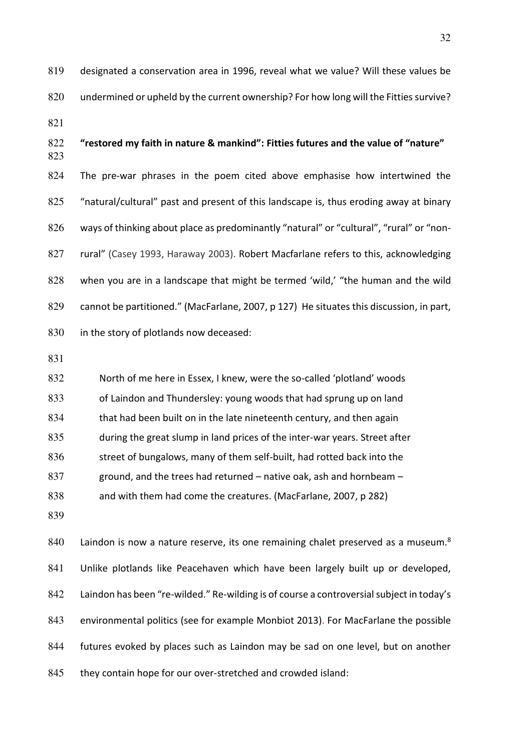designated a conservation area in 1996, reveal what we value? Will these values be undermined or upheld by the current ownership? For how long will the Fitties survive? 

# **"restored my faith in nature & mankind": Fitties futures and the value of "nature"** The pre-war phrases in the poem cited above emphasise how intertwined the "natural/cultural" past and present of this landscape is, thus eroding away at binary ways of thinking about place as predominantly "natural" or "cultural", "rural" or "non-rural" (Casey 1993, Haraway 2003). Robert Macfarlane refers to this, acknowledging when you are in a landscape that might be termed 'wild,' "the human and the wild cannot be partitioned." (MacFarlane, 2007, p 127) He situates this discussion, in part, 830 in the story of plotlands now deceased:

North of me here in Essex, I knew, were the so-called 'plotland' woods of Laindon and Thundersley: young woods that had sprung up on land that had been built on in the late nineteenth century, and then again during the great slump in land prices of the inter-war years. Street after 836 street of bungalows, many of them self-built, had rotted back into the ground, and the trees had returned – native oak, ash and hornbeam –

and with them had come the creatures. (MacFarlane, 2007, p 282)

840 Laindon is now a nature reserve, its one remaining chalet preserved as a museum. $8<sup>8</sup>$ Unlike plotlands like Peacehaven which have been largely built up or developed, Laindon has been "re-wilded." Re-wilding is of course a controversial subject in today's environmental politics (see for example Monbiot 2013). For MacFarlane the possible futures evoked by places such as Laindon may be sad on one level, but on another 845 they contain hope for our over-stretched and crowded island: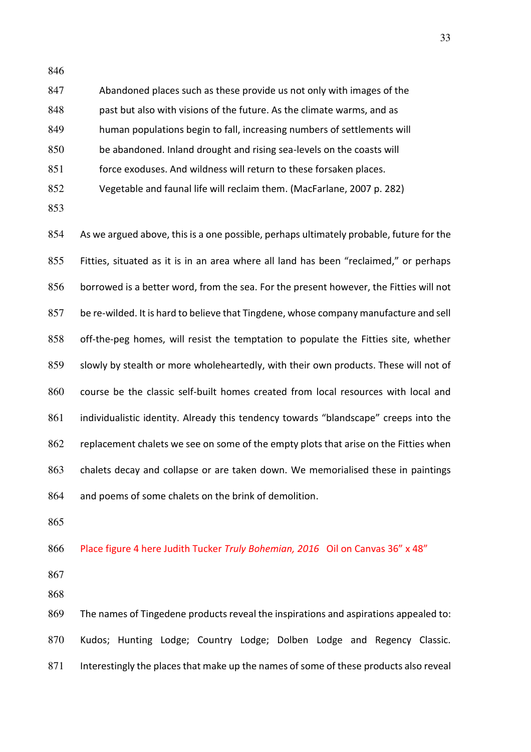| 847 | Abandoned places such as these provide us not only with images of the   |
|-----|-------------------------------------------------------------------------|
| 848 | past but also with visions of the future. As the climate warms, and as  |
| 849 | human populations begin to fall, increasing numbers of settlements will |
| 850 | be abandoned. Inland drought and rising sea-levels on the coasts will   |
| 851 | force exoduses. And wildness will return to these forsaken places.      |
| 852 | Vegetable and faunal life will reclaim them. (MacFarlane, 2007 p. 282)  |

As we argued above, this is a one possible, perhaps ultimately probable, future for the Fitties, situated as it is in an area where all land has been "reclaimed," or perhaps borrowed is a better word, from the sea. For the present however, the Fitties will not be re-wilded. It is hard to believe that Tingdene, whose company manufacture and sell off-the-peg homes, will resist the temptation to populate the Fitties site, whether slowly by stealth or more wholeheartedly, with their own products. These will not of course be the classic self-built homes created from local resources with local and individualistic identity. Already this tendency towards "blandscape" creeps into the 862 replacement chalets we see on some of the empty plots that arise on the Fitties when chalets decay and collapse or are taken down. We memorialised these in paintings and poems of some chalets on the brink of demolition.

Place figure 4 here Judith Tucker *Truly Bohemian, 2016* Oil on Canvas 36" x 48"

The names of Tingedene products reveal the inspirations and aspirations appealed to: Kudos; Hunting Lodge; Country Lodge; Dolben Lodge and Regency Classic. 871 Interestingly the places that make up the names of some of these products also reveal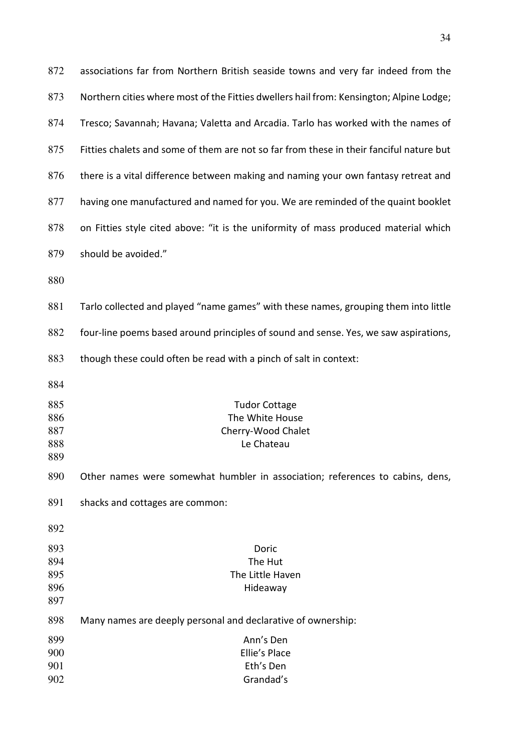| 872                             | associations far from Northern British seaside towns and very far indeed from the       |
|---------------------------------|-----------------------------------------------------------------------------------------|
| 873                             | Northern cities where most of the Fitties dwellers hail from: Kensington; Alpine Lodge; |
| 874                             | Tresco; Savannah; Havana; Valetta and Arcadia. Tarlo has worked with the names of       |
| 875                             | Fitties chalets and some of them are not so far from these in their fanciful nature but |
| 876                             | there is a vital difference between making and naming your own fantasy retreat and      |
| 877                             | having one manufactured and named for you. We are reminded of the quaint booklet        |
| 878                             | on Fitties style cited above: "it is the uniformity of mass produced material which     |
| 879                             | should be avoided."                                                                     |
| 880                             |                                                                                         |
| 881                             | Tarlo collected and played "name games" with these names, grouping them into little     |
| 882                             | four-line poems based around principles of sound and sense. Yes, we saw aspirations,    |
| 883                             | though these could often be read with a pinch of salt in context:                       |
| 884                             |                                                                                         |
| 885<br>886<br>887<br>888<br>889 | <b>Tudor Cottage</b><br>The White House<br>Cherry-Wood Chalet<br>Le Chateau             |
| 890                             | Other names were somewhat humbler in association; references to cabins, dens,           |
| 891                             | shacks and cottages are common:                                                         |
| 892                             |                                                                                         |
| 893<br>894<br>895<br>896<br>897 | Doric<br>The Hut<br>The Little Haven<br>Hideaway                                        |
| 898                             | Many names are deeply personal and declarative of ownership:                            |
| 899<br>900<br>901<br>902        | Ann's Den<br>Ellie's Place<br>Eth's Den<br>Grandad's                                    |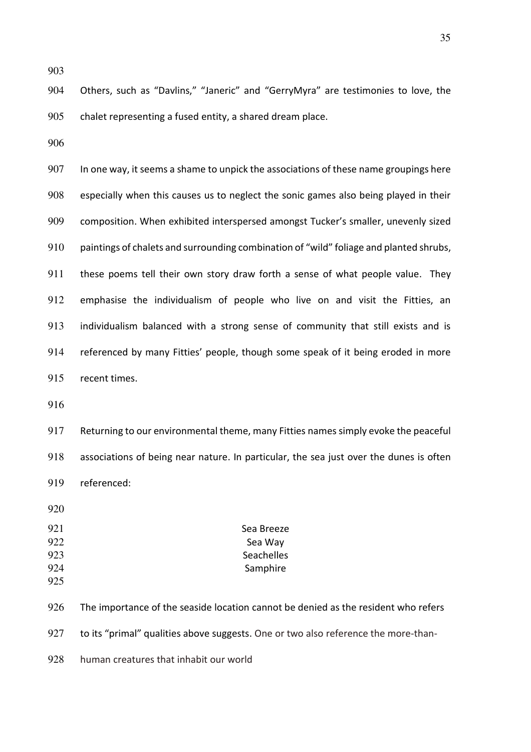Others, such as "Davlins," "Janeric" and "GerryMyra" are testimonies to love, the chalet representing a fused entity, a shared dream place.

907 In one way, it seems a shame to unpick the associations of these name groupings here especially when this causes us to neglect the sonic games also being played in their composition. When exhibited interspersed amongst Tucker's smaller, unevenly sized paintings of chalets and surrounding combination of "wild" foliage and planted shrubs, 911 these poems tell their own story draw forth a sense of what people value. They emphasise the individualism of people who live on and visit the Fitties, an individualism balanced with a strong sense of community that still exists and is referenced by many Fitties' people, though some speak of it being eroded in more recent times.

Returning to our environmental theme, many Fitties names simply evoke the peaceful associations of being near nature. In particular, the sea just over the dunes is often referenced:

| 921 | Sea Breeze |
|-----|------------|
| 922 | Sea Way    |
| 923 | Seachelles |
| 924 | Samphire   |
|     |            |

926 The importance of the seaside location cannot be denied as the resident who refers

927 to its "primal" qualities above suggests. One or two also reference the more-than-

human creatures that inhabit our world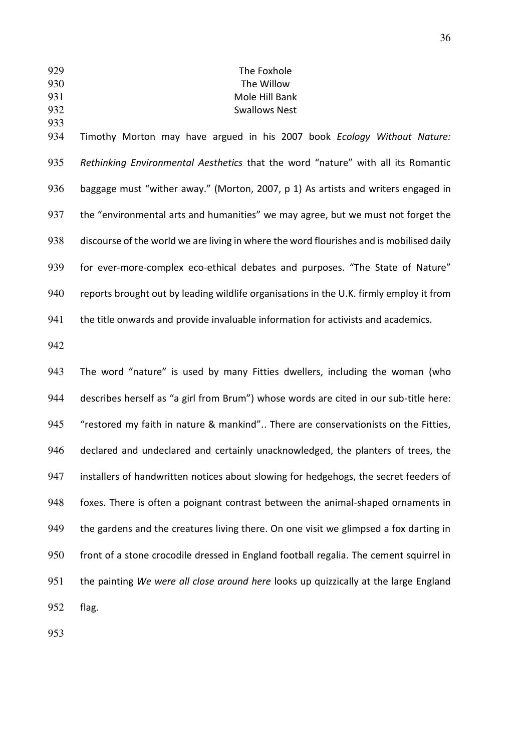# The Foxhole The Willow Mole Hill Bank Swallows Nest

Timothy Morton may have argued in his 2007 book *Ecology Without Nature: Rethinking Environmental Aesthetics* that the word "nature" with all its Romantic baggage must "wither away." (Morton, 2007, p 1) As artists and writers engaged in 937 the "environmental arts and humanities" we may agree, but we must not forget the discourse of the world we are living in where the word flourishes and is mobilised daily for ever-more-complex eco-ethical debates and purposes. "The State of Nature" reports brought out by leading wildlife organisations in the U.K. firmly employ it from the title onwards and provide invaluable information for activists and academics.

The word "nature" is used by many Fitties dwellers, including the woman (who describes herself as "a girl from Brum") whose words are cited in our sub-title here: "restored my faith in nature & mankind".. There are conservationists on the Fitties, declared and undeclared and certainly unacknowledged, the planters of trees, the 947 installers of handwritten notices about slowing for hedgehogs, the secret feeders of foxes. There is often a poignant contrast between the animal-shaped ornaments in 949 the gardens and the creatures living there. On one visit we glimpsed a fox darting in front of a stone crocodile dressed in England football regalia. The cement squirrel in the painting *We were all close around here* looks up quizzically at the large England flag.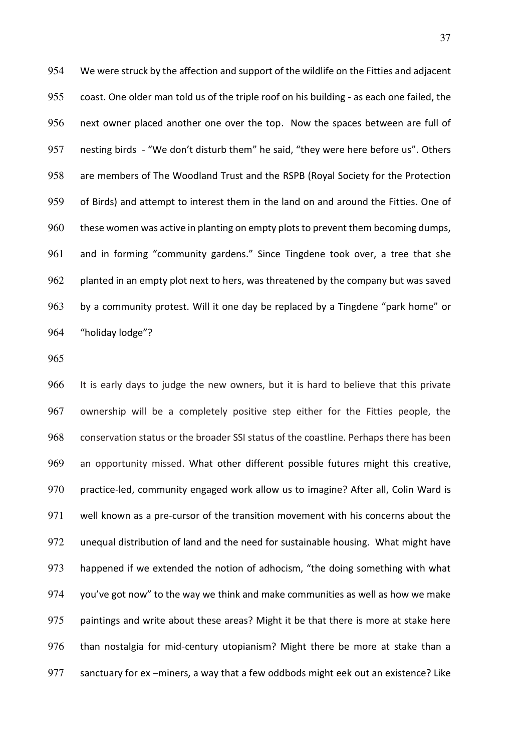We were struck by the affection and support of the wildlife on the Fitties and adjacent coast. One older man told us of the triple roof on his building - as each one failed, the next owner placed another one over the top. Now the spaces between are full of nesting birds - "We don't disturb them" he said, "they were here before us". Others are members of The Woodland Trust and the RSPB (Royal Society for the Protection of Birds) and attempt to interest them in the land on and around the Fitties. One of these women was active in planting on empty plots to prevent them becoming dumps, and in forming "community gardens." Since Tingdene took over, a tree that she 962 planted in an empty plot next to hers, was threatened by the company but was saved by a community protest. Will it one day be replaced by a Tingdene "park home" or "holiday lodge"?

It is early days to judge the new owners, but it is hard to believe that this private ownership will be a completely positive step either for the Fitties people, the conservation status or the broader SSI status of the coastline. Perhaps there has been an opportunity missed. What other different possible futures might this creative, practice-led, community engaged work allow us to imagine? After all, Colin Ward is well known as a pre-cursor of the transition movement with his concerns about the unequal distribution of land and the need for sustainable housing. What might have happened if we extended the notion of adhocism, "the doing something with what you've got now" to the way we think and make communities as well as how we make 975 paintings and write about these areas? Might it be that there is more at stake here than nostalgia for mid-century utopianism? Might there be more at stake than a 977 sanctuary for ex –miners, a way that a few oddbods might eek out an existence? Like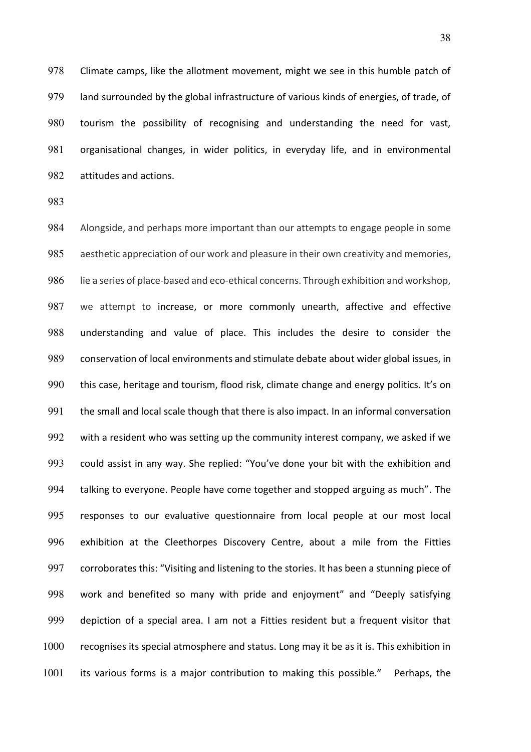Climate camps, like the allotment movement, might we see in this humble patch of land surrounded by the global infrastructure of various kinds of energies, of trade, of tourism the possibility of recognising and understanding the need for vast, organisational changes, in wider politics, in everyday life, and in environmental attitudes and actions.

Alongside, and perhaps more important than our attempts to engage people in some aesthetic appreciation of our work and pleasure in their own creativity and memories, 986 lie a series of place-based and eco-ethical concerns. Through exhibition and workshop, we attempt to increase, or more commonly unearth, affective and effective understanding and value of place. This includes the desire to consider the conservation of local environments and stimulate debate about wider global issues, in this case, heritage and tourism, flood risk, climate change and energy politics. It's on 991 the small and local scale though that there is also impact. In an informal conversation with a resident who was setting up the community interest company, we asked if we could assist in any way. She replied: "You've done your bit with the exhibition and talking to everyone. People have come together and stopped arguing as much". The responses to our evaluative questionnaire from local people at our most local exhibition at the Cleethorpes Discovery Centre, about a mile from the Fitties 997 corroborates this: "Visiting and listening to the stories. It has been a stunning piece of work and benefited so many with pride and enjoyment" and "Deeply satisfying 999 depiction of a special area. I am not a Fitties resident but a frequent visitor that recognises its special atmosphere and status. Long may it be as it is. This exhibition in its various forms is a major contribution to making this possible." Perhaps, the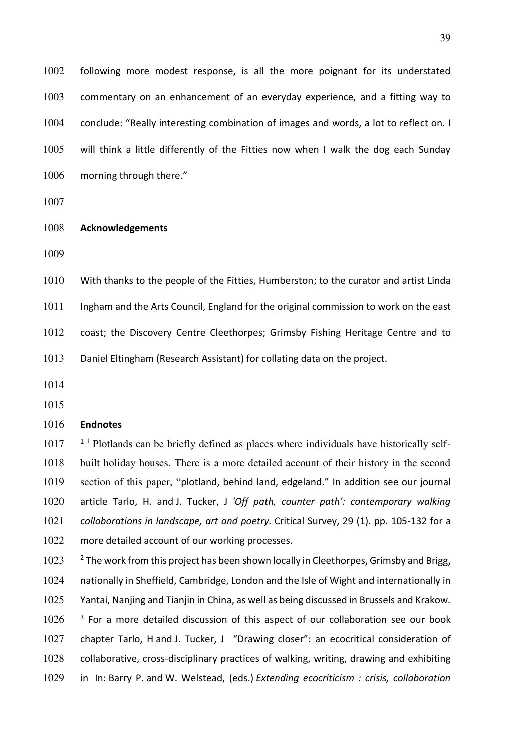following more modest response, is all the more poignant for its understated commentary on an enhancement of an everyday experience, and a fitting way to conclude: "Really interesting combination of images and words, a lot to reflect on. I will think a little differently of the Fitties now when I walk the dog each Sunday 1006 morning through there."

#### **Acknowledgements**

With thanks to the people of the Fitties, Humberston; to the curator and artist Linda

1011 Ingham and the Arts Council, England for the original commission to work on the east

coast; the Discovery Centre Cleethorpes; Grimsby Fishing Heritage Centre and to

Daniel Eltingham (Research Assistant) for collating data on the project.

## **Endnotes**

1017 <sup>1</sup> Plotlands can be briefly defined as places where individuals have historically self-1018 built holiday houses. There is a more detailed account of their history in the second 1019 section of this paper, "plotland, behind land, edgeland." In addition see our journal article Tarlo, H. and J. Tucker, J *'Off path, counter path': contemporary walking collaborations in landscape, art and poetry.* Critical Survey, 29 (1). pp. 105-132 for a more detailed account of our working processes.

 <sup>2</sup> The work from this project has been shown locally in Cleethorpes, Grimsby and Brigg, nationally in Sheffield, Cambridge, London and the Isle of Wight and internationally in Yantai, Nanjing and Tianjin in China, as well as being discussed in Brussels and Krakow. <sup>3</sup> For a more detailed discussion of this aspect of our collaboration see our book chapter Tarlo, H and J. Tucker, J "Drawing closer": an ecocritical consideration of collaborative, cross-disciplinary practices of walking, writing, drawing and exhibiting in In: Barry P. and W. Welstead, (eds.) *Extending ecocriticism : crisis, collaboration*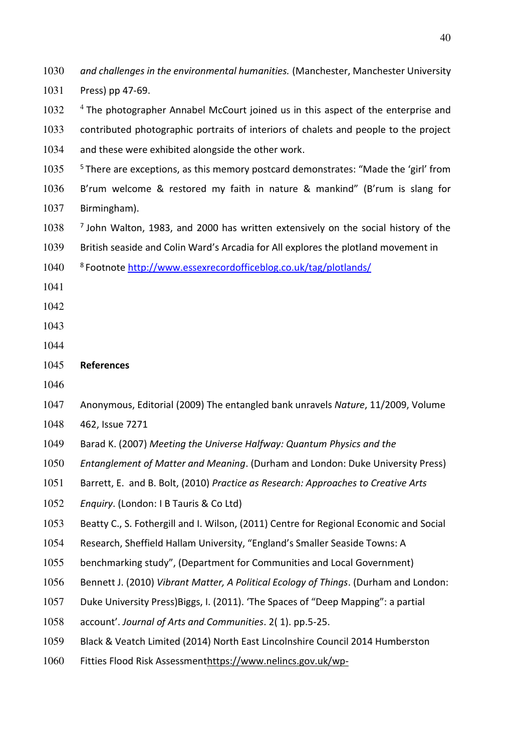| 1030 | and challenges in the environmental humanities. (Manchester, Manchester University             |
|------|------------------------------------------------------------------------------------------------|
| 1031 | Press) pp 47-69.                                                                               |
| 1032 | $4$ The photographer Annabel McCourt joined us in this aspect of the enterprise and            |
| 1033 | contributed photographic portraits of interiors of chalets and people to the project           |
| 1034 | and these were exhibited alongside the other work.                                             |
| 1035 | <sup>5</sup> There are exceptions, as this memory postcard demonstrates: "Made the 'girl' from |
| 1036 | B'rum welcome & restored my faith in nature & mankind" (B'rum is slang for                     |
| 1037 | Birmingham).                                                                                   |
| 1038 | <sup>7</sup> John Walton, 1983, and 2000 has written extensively on the social history of the  |
| 1039 | British seaside and Colin Ward's Arcadia for All explores the plotland movement in             |
| 1040 | <sup>8</sup> Footnote http://www.essexrecordofficeblog.co.uk/tag/plotlands/                    |
| 1041 |                                                                                                |
| 1042 |                                                                                                |
| 1043 |                                                                                                |
| 1044 |                                                                                                |
| 1045 | <b>References</b>                                                                              |
| 1046 |                                                                                                |
| 1047 | Anonymous, Editorial (2009) The entangled bank unravels Nature, 11/2009, Volume                |
| 1048 | 462, Issue 7271                                                                                |
| 1049 | Barad K. (2007) Meeting the Universe Halfway: Quantum Physics and the                          |
| 1050 | Entanglement of Matter and Meaning. (Durham and London: Duke University Press)                 |
| 1051 | Barrett, E. and B. Bolt, (2010) Practice as Research: Approaches to Creative Arts              |
| 1052 | Enquiry. (London: I B Tauris & Co Ltd)                                                         |
| 1053 | Beatty C., S. Fothergill and I. Wilson, (2011) Centre for Regional Economic and Social         |
| 1054 | Research, Sheffield Hallam University, "England's Smaller Seaside Towns: A                     |
| 1055 | benchmarking study", (Department for Communities and Local Government)                         |
| 1056 | Bennett J. (2010) Vibrant Matter, A Political Ecology of Things. (Durham and London:           |
| 1057 | Duke University Press) Biggs, I. (2011). 'The Spaces of "Deep Mapping": a partial              |
| 1058 | account'. Journal of Arts and Communities. 2(1). pp.5-25.                                      |
| 1059 | Black & Veatch Limited (2014) North East Lincolnshire Council 2014 Humberston                  |
|      |                                                                                                |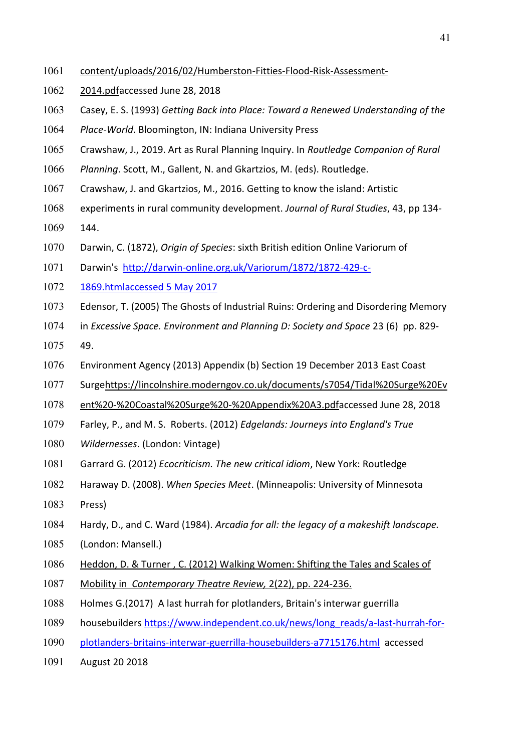- [content/uploads/2016/02/Humberston-Fitties-Flood-Risk-Assessment-](https://www.nelincs.gov.uk/wp-content/uploads/2016/02/Humberston-Fitties-Flood-Risk-Assessment-2014.pdf)
- [2014.pdfa](https://www.nelincs.gov.uk/wp-content/uploads/2016/02/Humberston-Fitties-Flood-Risk-Assessment-2014.pdf)ccessed June 28, 2018
- Casey, E. S. (1993) *Getting Back into Place: Toward a Renewed Understanding of the*
- *Place-World*. Bloomington, IN: Indiana University Press
- Crawshaw, J., 2019. Art as Rural Planning Inquiry. In *Routledge Companion of Rural*
- *Planning*. Scott, M., Gallent, N. and Gkartzios, M. (eds). Routledge.
- Crawshaw, J. and Gkartzios, M., 2016. Getting to know the island: Artistic
- experiments in rural community development. *Journal of Rural Studies*, 43, pp 134-
- 144.
- Darwin, C. (1872), *Origin of Species*: sixth British edition Online Variorum of
- Darwin's [http://darwin-online.org.uk/Variorum/1872/1872-429-c-](http://darwin-online.org.uk/Variorum/1872/1872-429-c-1869.htmlaccessed%205%20May%202017)
- [1869.htmlaccessed 5 May 2017](http://darwin-online.org.uk/Variorum/1872/1872-429-c-1869.htmlaccessed%205%20May%202017)
- Edensor, T. (2005) The Ghosts of Industrial Ruins: Ordering and Disordering Memory
- in *Excessive Space. Environment and Planning D: Society and Space* 23 (6) pp. 829-
- 49.
- Environment Agency (2013) Appendix (b) Section 19 December 2013 East Coast
- Surg[ehttps://lincolnshire.moderngov.co.uk/documents/s7054/Tidal%20Surge%20Ev](https://lincolnshire.moderngov.co.uk/documents/s7054/Tidal%20Surge%20Event%20-%20Coastal%20Surge%20-%20Appendix%20A3.pdf)
- [ent%20-%20Coastal%20Surge%20-%20Appendix%20A3.pdfa](https://lincolnshire.moderngov.co.uk/documents/s7054/Tidal%20Surge%20Event%20-%20Coastal%20Surge%20-%20Appendix%20A3.pdf)ccessed June 28, 2018
- Farley, P., and M. S. Roberts. (2012) *Edgelands: Journeys into England's True*
- *Wildernesses*. (London: Vintage)
- Garrard G. (2012) *Ecocriticism. The new critical idiom*, New York: Routledge
- Haraway D. (2008). *When Species Meet*. (Minneapolis: University of Minnesota
- Press)
- Hardy, D., and C. Ward (1984). *Arcadia for all: the legacy of a makeshift landscape.*
- (London: Mansell.)
- Heddon, D. & Turner , C. (2012) Walking Women: Shifting the Tales and Scales of
- Mobility in *Contemporary Theatre Review,* 2(22), pp. 224-236.
- Holmes G.(2017) A last hurrah for plotlanders, Britain's interwar guerrilla
- housebuilders [https://www.independent.co.uk/news/long\\_reads/a-last-hurrah-for-](https://www.independent.co.uk/news/long_reads/a-last-hurrah-for-plotlanders-britains-interwar-guerrilla-housebuilders-a7715176.html)
- [plotlanders-britains-interwar-guerrilla-housebuilders-a7715176.html](https://www.independent.co.uk/news/long_reads/a-last-hurrah-for-plotlanders-britains-interwar-guerrilla-housebuilders-a7715176.html) accessed
- August 20 2018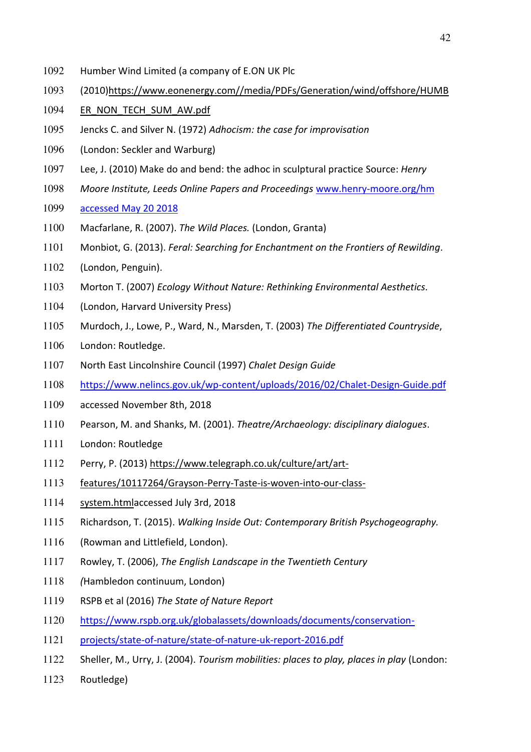- Humber Wind Limited (a company of E.ON UK Plc
- (2010[\)https://www.eonenergy.com//media/PDFs/Generation/wind/offshore/HUMB](https://www.eonenergy.com/media/PDFs/Generation/wind/offshore/HUMBER_NON_TECH_SUM_AW.pdf)
- 1094 ER\_NON\_TECH\_SUM\_AW.pdf
- Jencks C. and Silver N. (1972) *Adhocism: the case for improvisation*
- (London: Seckler and Warburg)
- Lee, J. (2010) Make do and bend: the adhoc in sculptural practice Source: *Henry*
- *Moore Institute, Leeds Online Papers and Proceedings* [www.henry-moore.org/hm](http://www.henry-moore.org/hm%20accessed%20May%2020%202018)
- [accessed May 20 2018](http://www.henry-moore.org/hm%20accessed%20May%2020%202018)
- Macfarlane, R. (2007). *The Wild Places.* (London, Granta)
- Monbiot, G. (2013). *Feral: Searching for Enchantment on the Frontiers of Rewilding*.
- (London, Penguin).
- Morton T. (2007) *Ecology Without Nature: Rethinking Environmental Aesthetics.*
- (London, Harvard University Press)
- Murdoch, J., Lowe, P., Ward, N., Marsden, T. (2003) *The Differentiated Countryside*,
- London: Routledge.
- North East Lincolnshire Council (1997) *Chalet Design Guide*
- <https://www.nelincs.gov.uk/wp-content/uploads/2016/02/Chalet-Design-Guide.pdf>
- accessed November 8th, 2018
- Pearson, M. and Shanks, M. (2001). *Theatre/Archaeology: disciplinary dialogues*.
- London: Routledge
- Perry, P. (2013) [https://www.telegraph.co.uk/culture/art/art-](https://www.telegraph.co.uk/culture/art/art-features/10117264/Grayson-Perry-Taste-is-woven-into-our-class-system.html)
- [features/10117264/Grayson-Perry-Taste-is-woven-into-our-class-](https://www.telegraph.co.uk/culture/art/art-features/10117264/Grayson-Perry-Taste-is-woven-into-our-class-system.html)
- [system.htmla](https://www.telegraph.co.uk/culture/art/art-features/10117264/Grayson-Perry-Taste-is-woven-into-our-class-system.html)ccessed July 3rd, 2018
- Richardson, T. (2015). *Walking Inside Out: Contemporary British Psychogeography.*
- (Rowman and Littlefield, London).
- Rowley, T. (2006), *The English Landscape in the Twentieth Century*
- *(*Hambledon continuum, London)
- RSPB et al (2016) *The State of Nature Report*
- [https://www.rspb.org.uk/globalassets/downloads/documents/conservation-](https://www.rspb.org.uk/globalassets/downloads/documents/conservation-projects/state-of-nature/state-of-nature-uk-report-2016.pdf)
- [projects/state-of-nature/state-of-nature-uk-report-2016.pdf](https://www.rspb.org.uk/globalassets/downloads/documents/conservation-projects/state-of-nature/state-of-nature-uk-report-2016.pdf)
- Sheller, M., Urry, J. (2004). *Tourism mobilities: places to play, places in play* (London:
- Routledge)